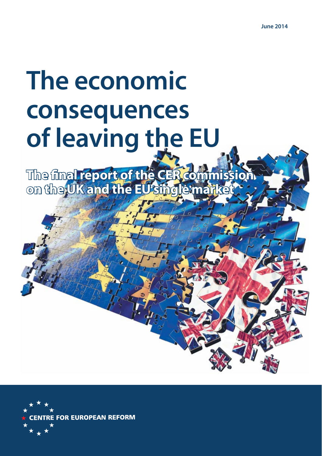# The economic consequences **containts consequence consequence consequence consequence c of the line of the EU and The EU and The EU and The EU and The EU and The EU and The EU and The EU and The EU and The EU and The EU and The EU and The EU and The EU and The EU and The EU and The EU and The EU and The EU a**

**The fi nal report of the CER commission on the UK and the EU single market**

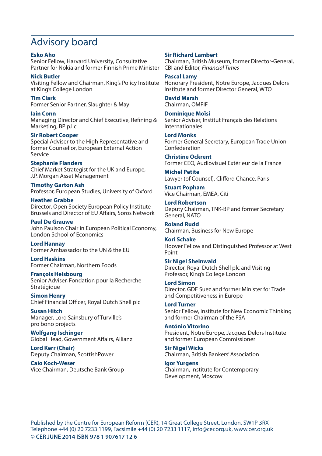# Advisory board

#### **Esko Aho** Senior Fellow, Harvard University, Consultative Partner for Nokia and former Finnish Prime Minister

**Nick Butler** Visiting Fellow and Chairman, King's Policy Institute Honorary President, Notre Europe, Jacques Delors at King's College London

**Tim Clark** Former Senior Partner, Slaughter & May

**Iain Conn** Managing Director and Chief Executive, Refining & Marketing, BP p.l.c.

#### **Sir Robert Cooper**

Special Adviser to the High Representative and former Counsellor, European External Action Service

#### **Stephanie Flanders**

Chief Market Strategist for the UK and Europe, J.P. Morgan Asset Management

**Timothy Garton Ash** Professor, European Studies, University of Oxford

**Heather Grabbe** Director, Open Society European Policy Institute Brussels and Director of EU Affairs, Soros Network

**Paul De Grauwe** John Paulson Chair in European Political Economy, London School of Economics

**Lord Hannay** Former Ambassador to the UN & the EU

**Lord Haskins** Former Chairman, Northern Foods

**François Heisbourg** Senior Adviser, Fondation pour la Recherche **Stratégique** 

**Simon Henry** Chief Financial Officer, Royal Dutch Shell plc

**Susan Hitch** Manager, Lord Sainsbury of Turville's pro bono projects

**Wolfgang Ischinger** Global Head, Government Affairs, Allianz

**Lord Kerr (Chair)** Deputy Chairman, ScottishPower

**Caio Koch-Weser** Vice Chairman, Deutsche Bank Group

#### **Sir Richard Lambert**

Chairman, British Museum, former Director-General, CBI and Editor, Financial Times

**Pascal Lamy** Institute and former Director General, WTO

**David Marsh** Chairman, OMFIF

**Dominique Moïsi** Senior Adviser, Institut Français des Relations Internationales

**Lord Monks** Former General Secretary, European Trade Union Confederation

**Christine Ockrent** Former CEO, Audiovisuel Extérieur de la France

**Michel Petite** Lawyer (of Counsel), Clifford Chance, Paris

**Stuart Popham** Vice Chairman, EMEA, Citi

**Lord Robertson** Deputy Chairman, TNK-BP and former Secretary General, NATO

**Roland Rudd** Chairman, Business for New Europe

**Kori Schake** Hoover Fellow and Distinguished Professor at West Point

**Sir Nigel Sheinwald** Director, Royal Dutch Shell plc and Visiting Professor, King's College London

**Lord Simon** Director, GDF Suez and former Minister for Trade and Competitiveness in Europe

**Lord Turner** Senior Fellow, Institute for New Economic Thinking and former Chairman of the FSA

**António Vitorino** President, Notre Europe, Jacques Delors Institute and former European Commissioner

**Sir Nigel Wicks** Chairman, British Bankers' Association

**Igor Yurgens** Chairman, Institute for Contemporary Development, Moscow

Published by the Centre for European Reform (CER), 14 Great College Street, London, SW1P 3RX Telephone +44 (0) 20 7233 1199, Facsimile +44 (0) 20 7233 1117, info@cer.org.uk, www.cer.org.uk © CER JUNE 2014 ISBN 978 1 907617 12 6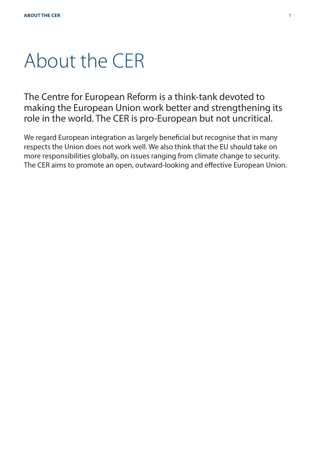# About the CER

The Centre for European Reform is a think-tank devoted to making the European Union work better and strengthening its role in the world. The CER is pro-European but not uncritical.

We regard European integration as largely beneficial but recognise that in many respects the Union does not work well. We also think that the EU should take on more responsibilities globally, on issues ranging from climate change to security. The CER aims to promote an open, outward-looking and effective European Union.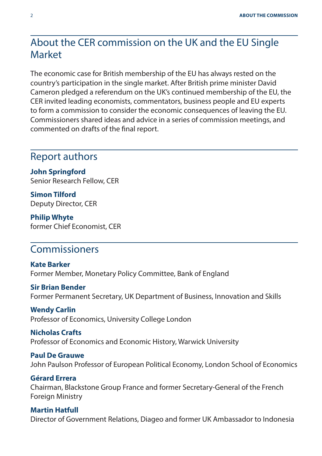# About the CER commission on the UK and the EU Single Market

The economic case for British membership of the EU has always rested on the country's participation in the single market. After British prime minister David Cameron pledged a referendum on the UK's continued membership of the EU, the CER invited leading economists, commentators, business people and EU experts to form a commission to consider the economic consequences of leaving the EU. Commissioners shared ideas and advice in a series of commission meetings, and commented on drafts of the final report.

# Report authors

**John Springford**  Senior Research Fellow, CER

**Simon Tilford** Deputy Director, CER

**Philip Whyte**  former Chief Economist, CER

# Commissioners

**Kate Barker** Former Member, Monetary Policy Committee, Bank of England

#### **Sir Brian Bender**

Former Permanent Secretary, UK Department of Business, Innovation and Skills

**Wendy Carlin** Professor of Economics, University College London

**Nicholas Crafts** Professor of Economics and Economic History, Warwick University

**Paul De Grauwe** John Paulson Professor of European Political Economy, London School of Economics

**Gérard Errera** Chairman, Blackstone Group France and former Secretary-General of the French Foreign Ministry

### **Martin Hatfull** Director of Government Relations, Diageo and former UK Ambassador to Indonesia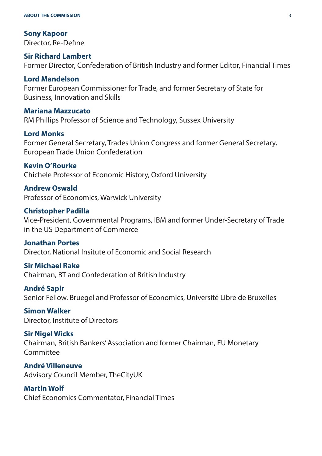#### **ABOUT THE COMMISSION** 3

**Sony Kapoor** Director, Re-Define

#### **Sir Richard Lambert**

Former Director, Confederation of British Industry and former Editor, Financial Times

#### **Lord Mandelson**

Former European Commissioner for Trade, and former Secretary of State for Business, Innovation and Skills

#### **Mariana Mazzucato**

RM Phillips Professor of Science and Technology, Sussex University

#### **Lord Monks**

Former General Secretary, Trades Union Congress and former General Secretary, European Trade Union Confederation

#### **Kevin O'Rourke**

Chichele Professor of Economic History, Oxford University

#### **Andrew Oswald**

Professor of Economics, Warwick University

#### **Christopher Padilla**

Vice-President, Governmental Programs, IBM and former Under-Secretary of Trade in the US Department of Commerce

#### **Jonathan Portes**

Director, National Insitute of Economic and Social Research

#### **Sir Michael Rake**

Chairman, BT and Confederation of British Industry

#### **André Sapir**

Senior Fellow, Bruegel and Professor of Economics, Université Libre de Bruxelles

**Simon Walker** Director, Institute of Directors

#### **Sir Nigel Wicks** Chairman, British Bankers' Association and former Chairman, EU Monetary Committee

**André Villeneuve** Advisory Council Member, TheCityUK

# **Martin Wolf**

Chief Economics Commentator, Financial Times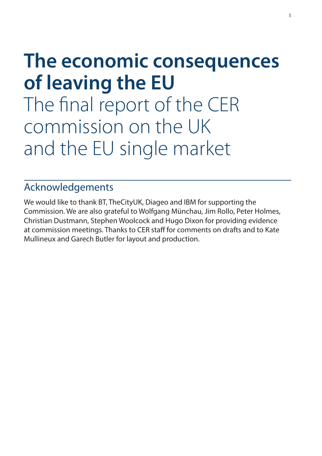# **The economic consequences**

The final report of The final report of the CER commission on the UK and the EU single market

# Acknowledgements

We would like to thank BT, TheCityUK, Diageo and IBM for supporting the Commission. We are also grateful to Wolfgang Münchau, Jim Rollo, Peter Holmes, Christian Dustmann, Stephen Woolcock and Hugo Dixon for providing evidence at commission meetings. Thanks to CER staff for comments on drafts and to Kate Mullineux and Garech Butler for layout and production.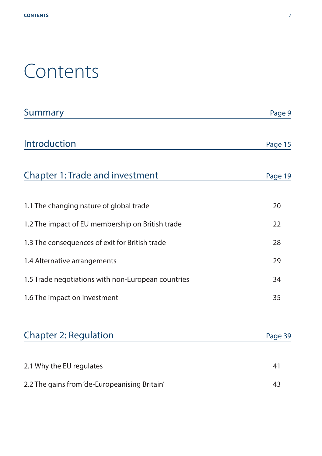# Contents

| <b>Summary</b>                                     | Page 9  |
|----------------------------------------------------|---------|
| Introduction                                       | Page 15 |
| <b>Chapter 1: Trade and investment</b>             | Page 19 |
| 1.1 The changing nature of global trade            | 20      |
| 1.2 The impact of EU membership on British trade   | 22      |
| 1.3 The consequences of exit for British trade     | 28      |
| 1.4 Alternative arrangements                       | 29      |
| 1.5 Trade negotiations with non-European countries | 34      |
| 1.6 The impact on investment                       | 35      |
| <b>Chapter 2: Regulation</b>                       | Page 39 |
| 2.1 Why the EU regulates                           | 41      |
| 2.2 The gains from 'de-Europeanising Britain'      | 43      |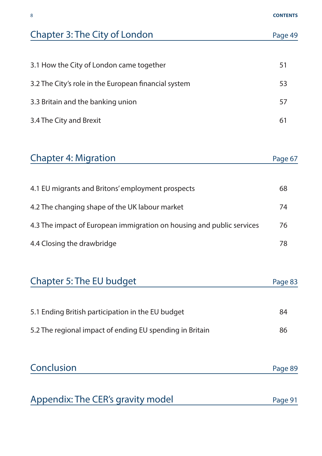| Chapter 3: The City of London                                         | Page 49 |
|-----------------------------------------------------------------------|---------|
|                                                                       |         |
| 3.1 How the City of London came together                              | 51      |
| 3.2 The City's role in the European financial system                  | 53      |
| 3.3 Britain and the banking union                                     | 57      |
| 3.4 The City and Brexit                                               | 61      |
|                                                                       |         |
| <b>Chapter 4: Migration</b>                                           | Page 67 |
|                                                                       |         |
| 4.1 EU migrants and Britons' employment prospects                     | 68      |
| 4.2 The changing shape of the UK labour market                        | 74      |
| 4.3 The impact of European immigration on housing and public services | 76      |
| 4.4 Closing the drawbridge                                            | 78      |
|                                                                       |         |
| Chapter 5: The EU budget                                              | Page 83 |
|                                                                       | 84      |
| 5.1 Ending British participation in the EU budget                     |         |
| 5.2 The regional impact of ending EU spending in Britain              | 86      |
| Conclusion                                                            | Page 89 |

Appendix: The CER's gravity model Page 91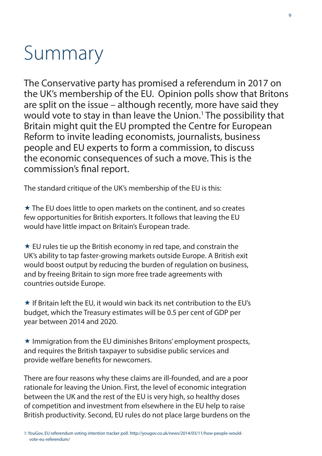# Summary

The Conservative party has promised a referendum in 2017 on the UK's membership of the EU. Opinion polls show that Britons are split on the issue – although recently, more have said they would vote to stay in than leave the Union.1 The possibility that Britain might quit the EU prompted the Centre for European Reform to invite leading economists, journalists, business people and EU experts to form a commission, to discuss the economic consequences of such a move. This is the commission's final report.

The standard critique of the UK's membership of the EU is this:

 $\star$  The EU does little to open markets on the continent, and so creates few opportunities for British exporters. It follows that leaving the EU would have little impact on Britain's European trade.

 $\star$  EU rules tie up the British economy in red tape, and constrain the UK's ability to tap faster-growing markets outside Europe. A British exit would boost output by reducing the burden of regulation on business, and by freeing Britain to sign more free trade agreements with countries outside Europe.

 $\star$  If Britain left the FU, it would win back its net contribution to the FU's budget, which the Treasury estimates will be 0.5 per cent of GDP per year between 2014 and 2020.

 $\star$  Immigration from the EU diminishes Britons' employment prospects, and requires the British taxpayer to subsidise public services and provide welfare benefits for newcomers.

There are four reasons why these claims are ill-founded, and are a poor rationale for leaving the Union. First, the level of economic integration between the UK and the rest of the EU is very high, so healthy doses of competition and investment from elsewhere in the EU help to raise British productivity. Second, EU rules do not place large burdens on the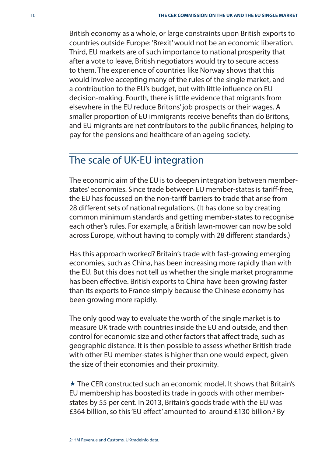British economy as a whole, or large constraints upon British exports to countries outside Europe: 'Brexit' would not be an economic liberation. Third, EU markets are of such importance to national prosperity that after a vote to leave, British negotiators would try to secure access to them. The experience of countries like Norway shows that this would involve accepting many of the rules of the single market, and a contribution to the EU's budget, but with little influence on EU decision-making. Fourth, there is little evidence that migrants from elsewhere in the EU reduce Britons' job prospects or their wages. A smaller proportion of EU immigrants receive benefits than do Britons, and EU migrants are net contributors to the public finances, helping to pay for the pensions and healthcare of an ageing society.

# The scale of UK-EU integration

The economic aim of the EU is to deepen integration between memberstates' economies. Since trade between EU member-states is tariff -free, the EU has focussed on the non-tariff barriers to trade that arise from 28 different sets of national regulations. (It has done so by creating common minimum standards and getting member-states to recognise each other's rules. For example, a British lawn-mower can now be sold across Europe, without having to comply with 28 different standards.)

Has this approach worked? Britain's trade with fast-growing emerging economies, such as China, has been increasing more rapidly than with the EU. But this does not tell us whether the single market programme has been effective. British exports to China have been growing faster than its exports to France simply because the Chinese economy has been growing more rapidly.

The only good way to evaluate the worth of the single market is to measure UK trade with countries inside the EU and outside, and then control for economic size and other factors that affect trade, such as geographic distance. It is then possible to assess whether British trade with other EU member-states is higher than one would expect, given the size of their economies and their proximity.

 $\star$  The CER constructed such an economic model. It shows that Britain's EU membership has boosted its trade in goods with other memberstates by 55 per cent. In 2013, Britain's goods trade with the EU was £364 billion, so this 'EU effect' amounted to around £130 billion.<sup>2</sup> By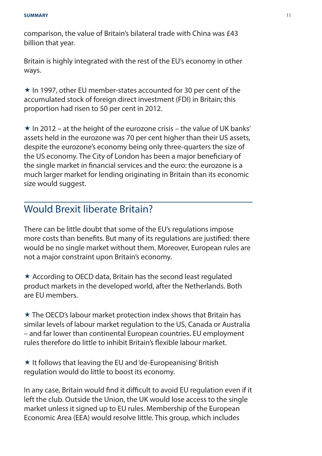comparison, the value of Britain's bilateral trade with China was £43 billion that year.

Britain is highly integrated with the rest of the EU's economy in other ways.

 $\star$  In 1997, other EU member-states accounted for 30 per cent of the accumulated stock of foreign direct investment (FDI) in Britain; this proportion had risen to 50 per cent in 2012.

 $\star$  In 2012 – at the height of the eurozone crisis – the value of UK banks' assets held in the eurozone was 70 per cent higher than their US assets, despite the eurozone's economy being only three-quarters the size of the US economy. The City of London has been a major beneficiary of the single market in financial services and the euro: the eurozone is a much larger market for lending originating in Britain than its economic size would suggest.

# Would Brexit liberate Britain?

There can be little doubt that some of the EU's regulations impose more costs than benefits. But many of its regulations are justified: there would be no single market without them. Moreover, European rules are not a major constraint upon Britain's economy.

 $\star$  According to OECD data. Britain has the second least regulated product markets in the developed world, after the Netherlands. Both are EU members.

 The OECD's labour market protection index shows that Britain has similar levels of labour market regulation to the US, Canada or Australia – and far lower than continental European countries. EU employment rules therefore do little to inhibit Britain's flexible labour market.

 $\star$  It follows that leaving the EU and 'de-Europeanising' British regulation would do little to boost its economy.

In any case, Britain would find it difficult to avoid EU regulation even if it left the club. Outside the Union, the UK would lose access to the single market unless it signed up to EU rules. Membership of the European Economic Area (EEA) would resolve little. This group, which includes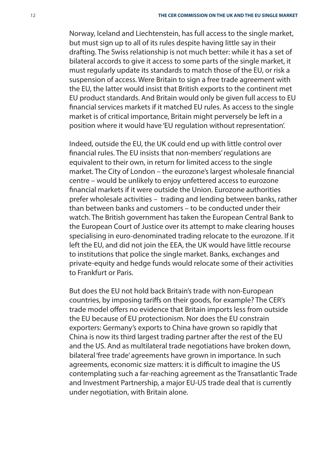Norway, Iceland and Liechtenstein, has full access to the single market, but must sign up to all of its rules despite having little say in their drafting. The Swiss relationship is not much better: while it has a set of bilateral accords to give it access to some parts of the single market, it must regularly update its standards to match those of the EU, or risk a suspension of access. Were Britain to sign a free trade agreement with the EU, the latter would insist that British exports to the continent met EU product standards. And Britain would only be given full access to EU financial services markets if it matched EU rules. As access to the single market is of critical importance, Britain might perversely be left in a position where it would have 'EU regulation without representation'.

Indeed, outside the EU, the UK could end up with little control over financial rules. The EU insists that non-members' regulations are equivalent to their own, in return for limited access to the single market. The City of London – the eurozone's largest wholesale financial centre – would be unlikely to enjoy unfettered access to eurozone financial markets if it were outside the Union. Eurozone authorities prefer wholesale activities – trading and lending between banks, rather than between banks and customers – to be conducted under their watch. The British government has taken the European Central Bank to the European Court of Justice over its attempt to make clearing houses specialising in euro-denominated trading relocate to the eurozone. If it left the EU, and did not join the EEA, the UK would have little recourse to institutions that police the single market. Banks, exchanges and private-equity and hedge funds would relocate some of their activities to Frankfurt or Paris.

But does the EU not hold back Britain's trade with non-European countries, by imposing tariffs on their goods, for example? The CER's trade model offers no evidence that Britain imports less from outside the EU because of EU protectionism. Nor does the EU constrain exporters: Germany's exports to China have grown so rapidly that China is now its third largest trading partner after the rest of the EU and the US. And as multilateral trade negotiations have broken down, bilateral 'free trade' agreements have grown in importance. In such agreements, economic size matters: it is difficult to imagine the US contemplating such a far-reaching agreement as the Transatlantic Trade and Investment Partnership, a major EU-US trade deal that is currently under negotiation, with Britain alone.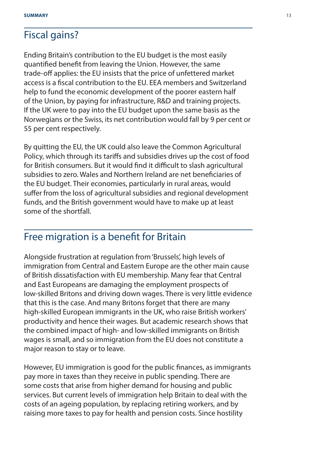# Fiscal gains?

Ending Britain's contribution to the EU budget is the most easily quantified benefit from leaving the Union. However, the same trade-off applies: the EU insists that the price of unfettered market access is a fiscal contribution to the FU. FFA members and Switzerland help to fund the economic development of the poorer eastern half of the Union, by paying for infrastructure, R&D and training projects. If the UK were to pay into the EU budget upon the same basis as the Norwegians or the Swiss, its net contribution would fall by 9 per cent or 55 per cent respectively.

By quitting the EU, the UK could also leave the Common Agricultural Policy, which through its tariffs and subsidies drives up the cost of food for British consumers. But it would find it difficult to slash agricultural subsidies to zero. Wales and Northern Ireland are net beneficiaries of the EU budget. Their economies, particularly in rural areas, would suffer from the loss of agricultural subsidies and regional development funds, and the British government would have to make up at least some of the shortfall.

# Free migration is a benefit for Britain

Alongside frustration at regulation from 'Brussels', high levels of immigration from Central and Eastern Europe are the other main cause of British dissatisfaction with EU membership. Many fear that Central and East Europeans are damaging the employment prospects of low-skilled Britons and driving down wages. There is very little evidence that this is the case. And many Britons forget that there are many high-skilled European immigrants in the UK, who raise British workers' productivity and hence their wages. But academic research shows that the combined impact of high- and low-skilled immigrants on British wages is small, and so immigration from the EU does not constitute a major reason to stay or to leave.

However, EU immigration is good for the public finances, as immigrants pay more in taxes than they receive in public spending. There are some costs that arise from higher demand for housing and public services. But current levels of immigration help Britain to deal with the costs of an ageing population, by replacing retiring workers, and by raising more taxes to pay for health and pension costs. Since hostility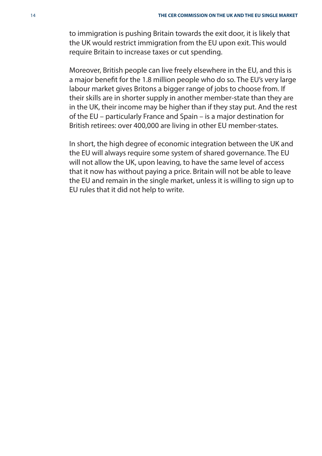to immigration is pushing Britain towards the exit door, it is likely that the UK would restrict immigration from the EU upon exit. This would require Britain to increase taxes or cut spending.

Moreover, British people can live freely elsewhere in the EU, and this is a major benefit for the 1.8 million people who do so. The EU's very large labour market gives Britons a bigger range of jobs to choose from. If their skills are in shorter supply in another member-state than they are in the UK, their income may be higher than if they stay put. And the rest of the EU – particularly France and Spain – is a major destination for British retirees: over 400,000 are living in other EU member-states.

In short, the high degree of economic integration between the UK and the EU will always require some system of shared governance. The EU will not allow the UK, upon leaving, to have the same level of access that it now has without paying a price. Britain will not be able to leave the EU and remain in the single market, unless it is willing to sign up to EU rules that it did not help to write.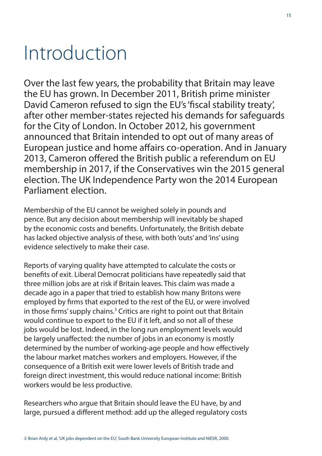# Introduction

Over the last few years, the probability that Britain may leave the EU has grown. In December 2011, British prime minister David Cameron refused to sign the EU's 'fiscal stability treaty', after other member-states rejected his demands for safeguards for the City of London. In October 2012, his government announced that Britain intended to opt out of many areas of European justice and home affairs co-operation. And in January 2013, Cameron offered the British public a referendum on EU membership in 2017, if the Conservatives win the 2015 general election. The UK Independence Party won the 2014 European Parliament election.

Membership of the EU cannot be weighed solely in pounds and pence. But any decision about membership will inevitably be shaped by the economic costs and benefits. Unfortunately, the British debate has lacked objective analysis of these, with both 'outs' and 'ins' using evidence selectively to make their case.

Reports of varying quality have attempted to calculate the costs or benefits of exit. Liberal Democrat politicians have repeatedly said that three million jobs are at risk if Britain leaves. This claim was made a decade ago in a paper that tried to establish how many Britons were employed by firms that exported to the rest of the EU, or were involved in those firms' supply chains.<sup>3</sup> Critics are right to point out that Britain would continue to export to the EU if it left, and so not all of these jobs would be lost. Indeed, in the long run employment levels would be largely unaffected: the number of jobs in an economy is mostly determined by the number of working-age people and how effectively the labour market matches workers and employers. However, if the consequence of a British exit were lower levels of British trade and foreign direct investment, this would reduce national income: British workers would be less productive.

Researchers who argue that Britain should leave the EU have, by and large, pursued a different method: add up the alleged regulatory costs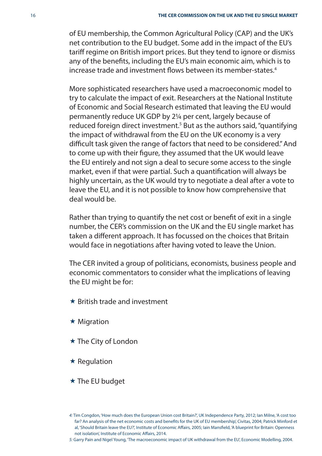of EU membership, the Common Agricultural Policy (CAP) and the UK's net contribution to the EU budget. Some add in the impact of the EU's tariff regime on British import prices. But they tend to ignore or dismiss any of the benefits, including the EU's main economic aim, which is to increase trade and investment flows between its member-states.<sup>4</sup>

More sophisticated researchers have used a macroeconomic model to try to calculate the impact of exit. Researchers at the National Institute of Economic and Social Research estimated that leaving the EU would permanently reduce UK GDP by 2¼ per cent, largely because of reduced foreign direct investment. $^5$  But as the authors said, "quantifying the impact of withdrawal from the EU on the UK economy is a very difficult task given the range of factors that need to be considered." And to come up with their figure, they assumed that the UK would leave the EU entirely and not sign a deal to secure some access to the single market, even if that were partial. Such a quantification will always be highly uncertain, as the UK would try to negotiate a deal after a vote to leave the EU, and it is not possible to know how comprehensive that deal would be.

Rather than trying to quantify the net cost or benefit of exit in a single number, the CER's commission on the UK and the EU single market has taken a different approach. It has focussed on the choices that Britain would face in negotiations after having voted to leave the Union.

The CER invited a group of politicians, economists, business people and economic commentators to consider what the implications of leaving the EU might be for:

- $\star$  British trade and investment
- $\star$  Migration
- ★ The City of London
- $\star$  Regulation
- $\star$  The EU budget

5: Garry Pain and Nigel Young, 'The macroeconomic impact of UK withdrawal from the EU', Economic Modelling, 2004.

<sup>4:</sup> Tim Congdon, 'How much does the European Union cost Britain?', UK Independence Party, 2012; Ian Milne, 'A cost too far? An analysis of the net economic costs and benefits for the UK of EU membership', Civitas, 2004; Patrick Minford et al, 'Should Britain leave the EU?', Institute of Economic Affairs, 2005; Iain Mansfield, 'A blueprint for Britain: Openness not isolation', Institute of Economic Affairs, 2014.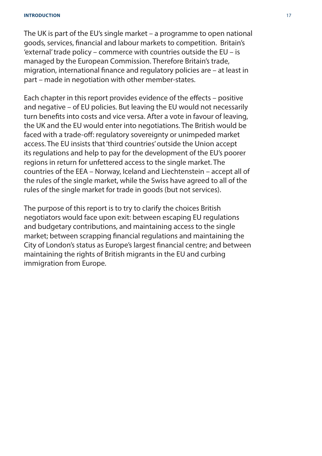The UK is part of the EU's single market – a programme to open national goods, services, financial and labour markets to competition. Britain's 'external' trade policy – commerce with countries outside the EU – is managed by the European Commission. Therefore Britain's trade, migration, international finance and regulatory policies are – at least in part – made in negotiation with other member-states.

Each chapter in this report provides evidence of the effects – positive and negative – of EU policies. But leaving the EU would not necessarily turn benefits into costs and vice versa. After a vote in favour of leaving, the UK and the EU would enter into negotiations. The British would be faced with a trade-off: regulatory sovereignty or unimpeded market access. The EU insists that 'third countries' outside the Union accept its regulations and help to pay for the development of the EU's poorer regions in return for unfettered access to the single market. The countries of the EEA – Norway, Iceland and Liechtenstein – accept all of the rules of the single market, while the Swiss have agreed to all of the rules of the single market for trade in goods (but not services).

The purpose of this report is to try to clarify the choices British negotiators would face upon exit: between escaping EU regulations and budgetary contributions, and maintaining access to the single market; between scrapping financial regulations and maintaining the City of London's status as Europe's largest financial centre; and between maintaining the rights of British migrants in the EU and curbing immigration from Europe.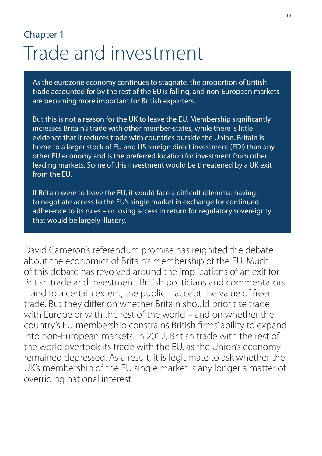# Chapter 1 Trade and investment

As the eurozone economy continues to stagnate, the proportion of British trade accounted for by the rest of the EU is falling, and non-European markets are becoming more important for British exporters.

But this is not a reason for the UK to leave the EU. Membership significantly increases Britain's trade with other member-states, while there is little evidence that it reduces trade with countries outside the Union. Britain is home to a larger stock of EU and US foreign direct investment (FDI) than any other EU economy and is the preferred location for investment from other leading markets. Some of this investment would be threatened by a UK exit from the EU.

If Britain were to leave the EU, it would face a difficult dilemma: having to negotiate access to the EU's single market in exchange for continued adherence to its rules – or losing access in return for regulatory sovereignty that would be largely illusory.

David Cameron's referendum promise has reignited the debate about the economics of Britain's membership of the EU. Much of this debate has revolved around the implications of an exit for British trade and investment. British politicians and commentators – and to a certain extent, the public – accept the value of freer trade. But they differ on whether Britain should prioritise trade with Europe or with the rest of the world – and on whether the country's EU membership constrains British firms' ability to expand into non-European markets. In 2012, British trade with the rest of the world overtook its trade with the EU, as the Union's economy remained depressed. As a result, it is legitimate to ask whether the UK's membership of the EU single market is any longer a matter of overriding national interest.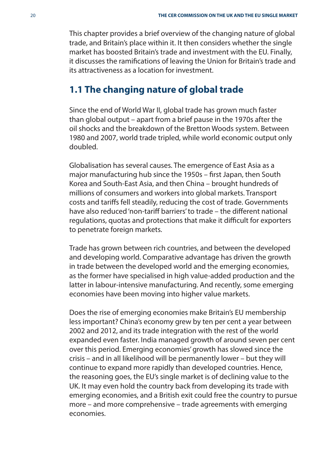This chapter provides a brief overview of the changing nature of global trade, and Britain's place within it. It then considers whether the single market has boosted Britain's trade and investment with the EU. Finally, it discusses the ramifications of leaving the Union for Britain's trade and its attractiveness as a location for investment.

## **1.1 The changing nature of global trade**

Since the end of World War II, global trade has grown much faster than global output – apart from a brief pause in the 1970s after the oil shocks and the breakdown of the Bretton Woods system. Between 1980 and 2007, world trade tripled, while world economic output only doubled.

Globalisation has several causes. The emergence of East Asia as a major manufacturing hub since the 1950s - first Japan, then South Korea and South-East Asia, and then China – brought hundreds of millions of consumers and workers into global markets. Transport costs and tariffs fell steadily, reducing the cost of trade. Governments have also reduced 'non-tariff barriers' to trade – the different national regulations, quotas and protections that make it difficult for exporters to penetrate foreign markets.

Trade has grown between rich countries, and between the developed and developing world. Comparative advantage has driven the growth in trade between the developed world and the emerging economies, as the former have specialised in high value-added production and the latter in labour-intensive manufacturing. And recently, some emerging economies have been moving into higher value markets.

Does the rise of emerging economies make Britain's EU membership less important? China's economy grew by ten per cent a year between 2002 and 2012, and its trade integration with the rest of the world expanded even faster. India managed growth of around seven per cent over this period. Emerging economies' growth has slowed since the crisis – and in all likelihood will be permanently lower – but they will continue to expand more rapidly than developed countries. Hence, the reasoning goes, the EU's single market is of declining value to the UK. It may even hold the country back from developing its trade with emerging economies, and a British exit could free the country to pursue more – and more comprehensive – trade agreements with emerging economies.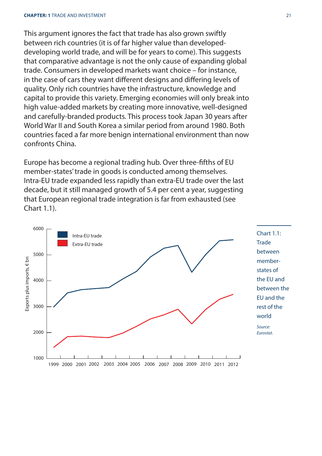This argument ignores the fact that trade has also grown swiftly between rich countries (it is of far higher value than developeddeveloping world trade, and will be for years to come). This suggests that comparative advantage is not the only cause of expanding global trade. Consumers in developed markets want choice – for instance, in the case of cars they want different designs and differing levels of quality. Only rich countries have the infrastructure, knowledge and capital to provide this variety. Emerging economies will only break into high value-added markets by creating more innovative, well-designed and carefully-branded products. This process took Japan 30 years after World War II and South Korea a similar period from around 1980. Both countries faced a far more benign international environment than now confronts China.

Europe has become a regional trading hub. Over three-fifths of EU member-states' trade in goods is conducted among themselves. Intra-EU trade expanded less rapidly than extra-EU trade over the last decade, but it still managed growth of 5.4 per cent a year, suggesting that European regional trade integration is far from exhausted (see Chart 1.1).

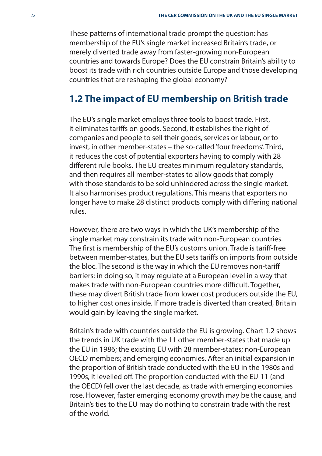These patterns of international trade prompt the question: has membership of the EU's single market increased Britain's trade, or merely diverted trade away from faster-growing non-European countries and towards Europe? Does the EU constrain Britain's ability to boost its trade with rich countries outside Europe and those developing countries that are reshaping the global economy?

## **1.2 The impact of EU membership on British trade**

The EU's single market employs three tools to boost trade. First, it eliminates tariffs on goods. Second, it establishes the right of companies and people to sell their goods, services or labour, or to invest, in other member-states – the so-called 'four freedoms'. Third, it reduces the cost of potential exporters having to comply with 28 different rule books. The EU creates minimum regulatory standards, and then requires all member-states to allow goods that comply with those standards to be sold unhindered across the single market. It also harmonises product regulations. This means that exporters no longer have to make 28 distinct products comply with differing national rules.

However, there are two ways in which the UK's membership of the single market may constrain its trade with non-European countries. The first is membership of the EU's customs union. Trade is tariff-free between member-states, but the EU sets tariffs on imports from outside the bloc. The second is the way in which the EU removes non-tariff barriers: in doing so, it may regulate at a European level in a way that makes trade with non-European countries more difficult. Together, these may divert British trade from lower cost producers outside the EU, to higher cost ones inside. If more trade is diverted than created, Britain would gain by leaving the single market.

Britain's trade with countries outside the EU is growing. Chart 1.2 shows the trends in UK trade with the 11 other member-states that made up the EU in 1986; the existing EU with 28 member-states; non-European OECD members; and emerging economies. After an initial expansion in the proportion of British trade conducted with the EU in the 1980s and 1990s, it levelled off. The proportion conducted with the EU-11 (and the OECD) fell over the last decade, as trade with emerging economies rose. However, faster emerging economy growth may be the cause, and Britain's ties to the EU may do nothing to constrain trade with the rest of the world.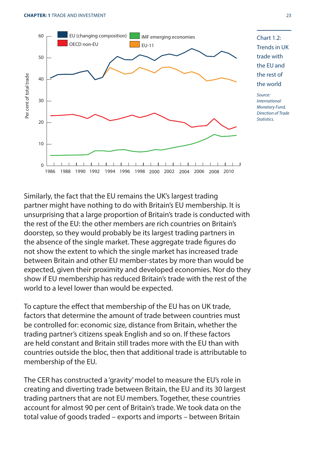

Chart 1.2: Trends in UK trade with the EU and the rest of the world

Source: International Monetary Fund, Direction of Trade **Statistics** 

Similarly, the fact that the EU remains the UK's largest trading partner might have nothing to do with Britain's EU membership. It is unsurprising that a large proportion of Britain's trade is conducted with the rest of the EU: the other members are rich countries on Britain's doorstep, so they would probably be its largest trading partners in the absence of the single market. These aggregate trade figures do not show the extent to which the single market has increased trade between Britain and other EU member-states by more than would be expected, given their proximity and developed economies. Nor do they show if EU membership has reduced Britain's trade with the rest of the world to a level lower than would be expected.

To capture the effect that membership of the EU has on UK trade, factors that determine the amount of trade between countries must be controlled for: economic size, distance from Britain, whether the trading partner's citizens speak English and so on. If these factors are held constant and Britain still trades more with the EU than with countries outside the bloc, then that additional trade is attributable to membership of the EU.

The CER has constructed a 'gravity' model to measure the EU's role in creating and diverting trade between Britain, the EU and its 30 largest trading partners that are not EU members. Together, these countries account for almost 90 per cent of Britain's trade. We took data on the total value of goods traded – exports and imports – between Britain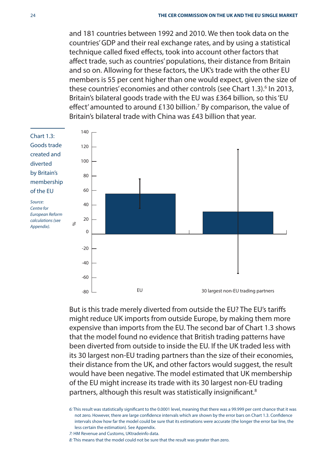and 181 countries between 1992 and 2010. We then took data on the countries' GDP and their real exchange rates, and by using a statistical technique called fixed effects, took into account other factors that affect trade, such as countries' populations, their distance from Britain and so on. Allowing for these factors, the UK's trade with the other EU members is 55 per cent higher than one would expect, given the size of these countries' economies and other controls (see Chart 1.3).<sup>6</sup> In 2013, Britain's bilateral goods trade with the EU was £364 billion, so this 'EU effect' amounted to around £130 billion.<sup>7</sup> By comparison, the value of Britain's bilateral trade with China was £43 billion that year.



But is this trade merely diverted from outside the EU? The EU's tariffs might reduce UK imports from outside Europe, by making them more expensive than imports from the EU. The second bar of Chart 1.3 shows that the model found no evidence that British trading patterns have been diverted from outside to inside the EU. If the UK traded less with its 30 largest non-EU trading partners than the size of their economies, their distance from the UK, and other factors would suggest, the result would have been negative. The model estimated that UK membership of the EU might increase its trade with its 30 largest non-EU trading partners, although this result was statistically insignificant.<sup>8</sup>

6: This result was statistically significant to the 0.0001 level, meaning that there was a 99.999 per cent chance that it was not zero. However, there are large confidence intervals which are shown by the error bars on Chart 1.3. Confidence intervals show how far the model could be sure that its estimations were accurate (the longer the error bar line, the less certain the estimation). See Appendix.

7: HM Revenue and Customs, UKtradeinfo data.

8: This means that the model could not be sure that the result was greater than zero.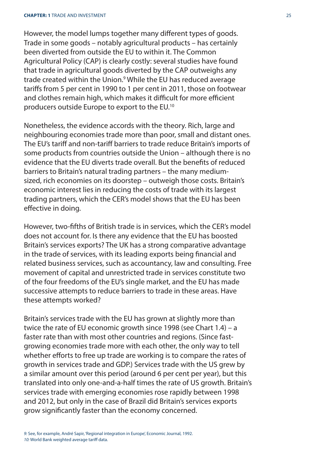However, the model lumps together many different types of goods. Trade in some goods – notably agricultural products – has certainly been diverted from outside the EU to within it. The Common Agricultural Policy (CAP) is clearly costly: several studies have found that trade in agricultural goods diverted by the CAP outweighs any trade created within the Union.9 While the EU has reduced average tariffs from 5 per cent in 1990 to 1 per cent in 2011, those on footwear and clothes remain high, which makes it difficult for more efficient producers outside Europe to export to the EU.10

Nonetheless, the evidence accords with the theory. Rich, large and neighbouring economies trade more than poor, small and distant ones. The EU's tariff and non-tariff barriers to trade reduce Britain's imports of some products from countries outside the Union – although there is no evidence that the EU diverts trade overall. But the benefits of reduced barriers to Britain's natural trading partners – the many mediumsized, rich economies on its doorstep – outweigh those costs. Britain's economic interest lies in reducing the costs of trade with its largest trading partners, which the CER's model shows that the EU has been effective in doing.

However, two-fifths of British trade is in services, which the CER's model does not account for. Is there any evidence that the EU has boosted Britain's services exports? The UK has a strong comparative advantage in the trade of services, with its leading exports being financial and related business services, such as accountancy, law and consulting. Free movement of capital and unrestricted trade in services constitute two of the four freedoms of the EU's single market, and the EU has made successive attempts to reduce barriers to trade in these areas. Have these attempts worked?

Britain's services trade with the EU has grown at slightly more than twice the rate of EU economic growth since 1998 (see Chart 1.4) – a faster rate than with most other countries and regions. (Since fastgrowing economies trade more with each other, the only way to tell whether efforts to free up trade are working is to compare the rates of growth in services trade and GDP.) Services trade with the US grew by a similar amount over this period (around 6 per cent per year), but this translated into only one-and-a-half times the rate of US growth. Britain's services trade with emerging economies rose rapidly between 1998 and 2012, but only in the case of Brazil did Britain's services exports grow significantly faster than the economy concerned.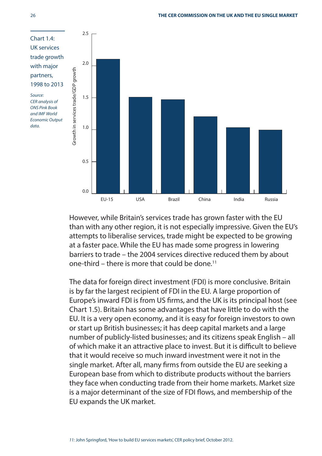

However, while Britain's services trade has grown faster with the EU than with any other region, it is not especially impressive. Given the EU's attempts to liberalise services, trade might be expected to be growing at a faster pace. While the EU has made some progress in lowering barriers to trade – the 2004 services directive reduced them by about one-third – there is more that could be done.<sup>11</sup>

The data for foreign direct investment (FDI) is more conclusive. Britain is by far the largest recipient of FDI in the EU. A large proportion of Europe's inward FDI is from US firms, and the UK is its principal host (see Chart 1.5). Britain has some advantages that have little to do with the EU. It is a very open economy, and it is easy for foreign investors to own or start up British businesses; it has deep capital markets and a large number of publicly-listed businesses; and its citizens speak English – all of which make it an attractive place to invest. But it is difficult to believe that it would receive so much inward investment were it not in the single market. After all, many firms from outside the EU are seeking a European base from which to distribute products without the barriers they face when conducting trade from their home markets. Market size is a major determinant of the size of FDI flows, and membership of the EU expands the UK market.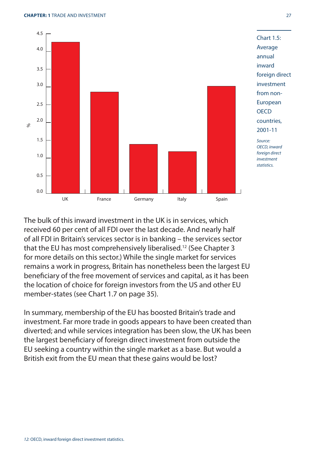

The bulk of this inward investment in the UK is in services, which received 60 per cent of all FDI over the last decade. And nearly half of all FDI in Britain's services sector is in banking – the services sector that the EU has most comprehensively liberalised.12 (See Chapter 3 for more details on this sector.) While the single market for services remains a work in progress, Britain has nonetheless been the largest EU beneficiary of the free movement of services and capital, as it has been the location of choice for foreign investors from the US and other EU member-states (see Chart 1.7 on page 35).

In summary, membership of the EU has boosted Britain's trade and investment. Far more trade in goods appears to have been created than diverted; and while services integration has been slow, the UK has been the largest beneficiary of foreign direct investment from outside the EU seeking a country within the single market as a base. But would a British exit from the EU mean that these gains would be lost?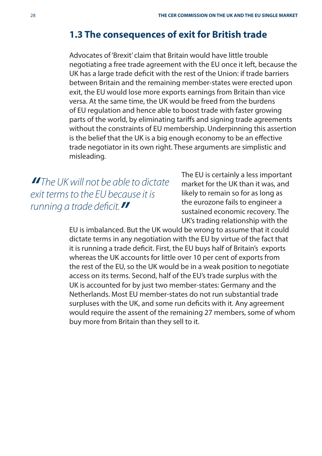## **1.3 The consequences of exit for British trade**

Advocates of 'Brexit' claim that Britain would have little trouble negotiating a free trade agreement with the EU once it left, because the UK has a large trade deficit with the rest of the Union: if trade barriers between Britain and the remaining member-states were erected upon exit, the EU would lose more exports earnings from Britain than vice versa. At the same time, the UK would be freed from the burdens of EU regulation and hence able to boost trade with faster growing parts of the world, by eliminating tariffs and signing trade agreements without the constraints of EU membership. Underpinning this assertion is the belief that the UK is a big enough economy to be an effective trade negotiator in its own right. These arguments are simplistic and misleading.

**"**The UK will not be able to dictate exit terms to the EU because it is running a trade deficit.

The EU is certainly a less important market for the UK than it was, and likely to remain so for as long as the eurozone fails to engineer a sustained economic recovery. The UK's trading relationship with the

EU is imbalanced. But the UK would be wrong to assume that it could dictate terms in any negotiation with the EU by virtue of the fact that it is running a trade deficit. First, the EU buys half of Britain's exports whereas the UK accounts for little over 10 per cent of exports from the rest of the EU, so the UK would be in a weak position to negotiate access on its terms. Second, half of the EU's trade surplus with the UK is accounted for by just two member-states: Germany and the Netherlands. Most EU member-states do not run substantial trade surpluses with the UK, and some run deficits with it. Any agreement would require the assent of the remaining 27 members, some of whom buy more from Britain than they sell to it.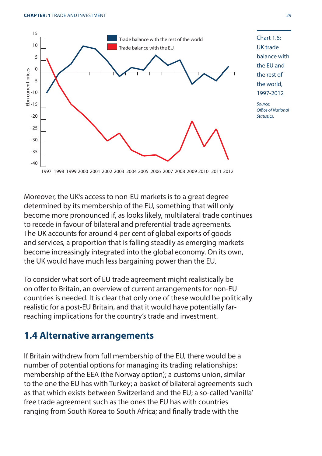

Chart 1.6: UK trade balance with the EU and the rest of the world, 1997-2012

Source: Office of National **Statistics** 

Moreover, the UK's access to non-EU markets is to a great degree determined by its membership of the EU, something that will only become more pronounced if, as looks likely, multilateral trade continues to recede in favour of bilateral and preferential trade agreements. The UK accounts for around 4 per cent of global exports of goods and services, a proportion that is falling steadily as emerging markets become increasingly integrated into the global economy. On its own, the UK would have much less bargaining power than the EU.

To consider what sort of EU trade agreement might realistically be on offer to Britain, an overview of current arrangements for non-EU countries is needed. It is clear that only one of these would be politically realistic for a post-EU Britain, and that it would have potentially farreaching implications for the country's trade and investment.

## **1.4 Alternative arrangements**

If Britain withdrew from full membership of the EU, there would be a number of potential options for managing its trading relationships: membership of the EEA (the Norway option); a customs union, similar to the one the EU has with Turkey; a basket of bilateral agreements such as that which exists between Switzerland and the EU; a so-called 'vanilla' free trade agreement such as the ones the EU has with countries ranging from South Korea to South Africa; and finally trade with the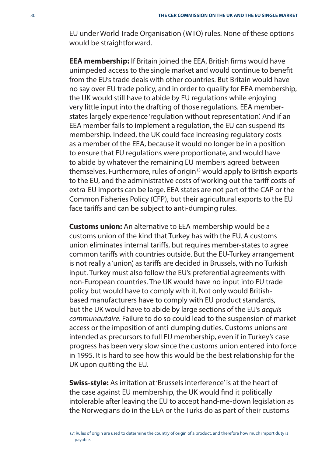EU under World Trade Organisation (WTO) rules. None of these options would be straightforward.

**EEA membership:** If Britain joined the EEA, British firms would have unimpeded access to the single market and would continue to benefit from the EU's trade deals with other countries. But Britain would have no say over EU trade policy, and in order to qualify for EEA membership, the UK would still have to abide by EU regulations while enjoying very little input into the drafting of those regulations. EEA memberstates largely experience 'regulation without representation'. And if an EEA member fails to implement a regulation, the EU can suspend its membership. Indeed, the UK could face increasing regulatory costs as a member of the EEA, because it would no longer be in a position to ensure that EU regulations were proportionate, and would have to abide by whatever the remaining EU members agreed between themselves. Furthermore, rules of origin<sup>13</sup> would apply to British exports to the EU, and the administrative costs of working out the tariff costs of extra-EU imports can be large. EEA states are not part of the CAP or the Common Fisheries Policy (CFP), but their agricultural exports to the EU face tariffs and can be subject to anti-dumping rules.

**Customs union:** An alternative to EEA membership would be a customs union of the kind that Turkey has with the EU. A customs union eliminates internal tariffs, but requires member-states to agree common tariffs with countries outside. But the EU-Turkey arrangement is not really a 'union', as tariffs are decided in Brussels, with no Turkish input. Turkey must also follow the EU's preferential agreements with non-European countries. The UK would have no input into EU trade policy but would have to comply with it. Not only would Britishbased manufacturers have to comply with EU product standards, but the UK would have to abide by large sections of the EU's acquis communautaire. Failure to do so could lead to the suspension of market access or the imposition of anti-dumping duties. Customs unions are intended as precursors to full EU membership, even if in Turkey's case progress has been very slow since the customs union entered into force in 1995. It is hard to see how this would be the best relationship for the UK upon quitting the EU.

**Swiss-style:** As irritation at 'Brussels interference' is at the heart of the case against EU membership, the UK would find it politically intolerable after leaving the EU to accept hand-me-down legislation as the Norwegians do in the EEA or the Turks do as part of their customs

13: Rules of origin are used to determine the country of origin of a product, and therefore how much import duty is payable.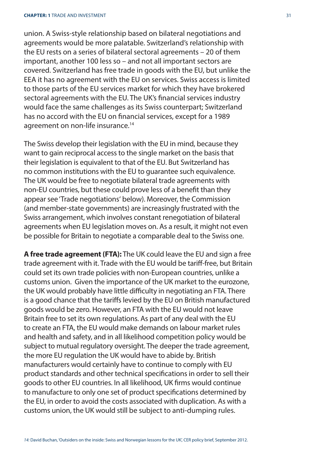union. A Swiss-style relationship based on bilateral negotiations and agreements would be more palatable. Switzerland's relationship with the EU rests on a series of bilateral sectoral agreements – 20 of them important, another 100 less so – and not all important sectors are covered. Switzerland has free trade in goods with the EU, but unlike the EEA it has no agreement with the EU on services. Swiss access is limited to those parts of the EU services market for which they have brokered sectoral agreements with the EU. The UK's financial services industry would face the same challenges as its Swiss counterpart; Switzerland has no accord with the EU on financial services, except for a 1989 agreement on non-life insurance.<sup>14</sup>

The Swiss develop their legislation with the EU in mind, because they want to gain reciprocal access to the single market on the basis that their legislation is equivalent to that of the EU. But Switzerland has no common institutions with the EU to guarantee such equivalence. The UK would be free to negotiate bilateral trade agreements with non-EU countries, but these could prove less of a benefit than they appear see 'Trade negotiations' below). Moreover, the Commission (and member-state governments) are increasingly frustrated with the Swiss arrangement, which involves constant renegotiation of bilateral agreements when EU legislation moves on. As a result, it might not even be possible for Britain to negotiate a comparable deal to the Swiss one.

**A free trade agreement (FTA):** The UK could leave the EU and sign a free trade agreement with it. Trade with the EU would be tariff -free, but Britain could set its own trade policies with non-European countries, unlike a customs union. Given the importance of the UK market to the eurozone, the UK would probably have little difficulty in negotiating an FTA. There is a good chance that the tariffs levied by the EU on British manufactured goods would be zero. However, an FTA with the EU would not leave Britain free to set its own regulations. As part of any deal with the EU to create an FTA, the EU would make demands on labour market rules and health and safety, and in all likelihood competition policy would be subject to mutual regulatory oversight. The deeper the trade agreement, the more EU regulation the UK would have to abide by. British manufacturers would certainly have to continue to comply with EU product standards and other technical specifications in order to sell their goods to other EU countries. In all likelihood, UK firms would continue to manufacture to only one set of product specifications determined by the EU, in order to avoid the costs associated with duplication. As with a customs union, the UK would still be subject to anti-dumping rules.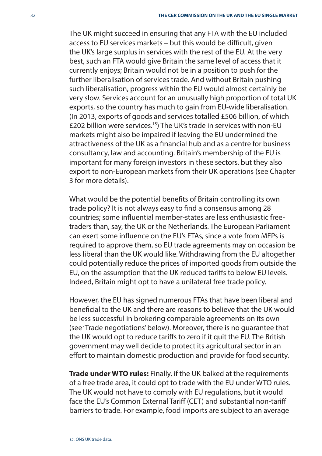The UK might succeed in ensuring that any FTA with the EU included access to EU services markets – but this would be difficult, given the UK's large surplus in services with the rest of the EU. At the very best, such an FTA would give Britain the same level of access that it currently enjoys; Britain would not be in a position to push for the further liberalisation of services trade. And without Britain pushing such liberalisation, progress within the EU would almost certainly be very slow. Services account for an unusually high proportion of total UK exports, so the country has much to gain from EU-wide liberalisation. (In 2013, exports of goods and services totalled £506 billion, of which £202 billion were services.15) The UK's trade in services with non-EU markets might also be impaired if leaving the EU undermined the attractiveness of the UK as a financial hub and as a centre for business consultancy, law and accounting. Britain's membership of the EU is important for many foreign investors in these sectors, but they also export to non-European markets from their UK operations (see Chapter 3 for more details).

What would be the potential benefits of Britain controlling its own trade policy? It is not always easy to find a consensus among 28 countries: some influential member-states are less enthusiastic freetraders than, say, the UK or the Netherlands. The European Parliament can exert some influence on the EU's FTAs, since a vote from MEPs is required to approve them, so EU trade agreements may on occasion be less liberal than the UK would like. Withdrawing from the EU altogether could potentially reduce the prices of imported goods from outside the EU, on the assumption that the UK reduced tariffs to below EU levels. Indeed, Britain might opt to have a unilateral free trade policy.

However, the EU has signed numerous FTAs that have been liberal and beneficial to the UK and there are reasons to believe that the UK would be less successful in brokering comparable agreements on its own (see 'Trade negotiations' below). Moreover, there is no guarantee that the UK would opt to reduce tariffs to zero if it quit the EU. The British government may well decide to protect its agricultural sector in an effort to maintain domestic production and provide for food security.

**Trade under WTO rules:** Finally, if the UK balked at the requirements of a free trade area, it could opt to trade with the EU under WTO rules. The UK would not have to comply with EU regulations, but it would face the EU's Common External Tariff (CET) and substantial non-tariff barriers to trade. For example, food imports are subject to an average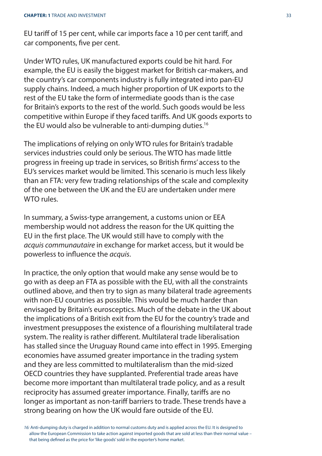EU tariff of 15 per cent, while car imports face a 10 per cent tariff, and car components, five per cent.

Under WTO rules, UK manufactured exports could be hit hard. For example, the EU is easily the biggest market for British car-makers, and the country's car components industry is fully integrated into pan-EU supply chains. Indeed, a much higher proportion of UK exports to the rest of the EU take the form of intermediate goods than is the case for Britain's exports to the rest of the world. Such goods would be less competitive within Europe if they faced tariffs. And UK goods exports to the EU would also be vulnerable to anti-dumping duties.<sup>16</sup>

The implications of relying on only WTO rules for Britain's tradable services industries could only be serious. The WTO has made little progress in freeing up trade in services, so British firms' access to the EU's services market would be limited. This scenario is much less likely than an FTA: very few trading relationships of the scale and complexity of the one between the UK and the EU are undertaken under mere WTO rules.

In summary, a Swiss-type arrangement, a customs union or EEA membership would not address the reason for the UK quitting the EU in the first place. The UK would still have to comply with the acquis communautaire in exchange for market access, but it would be powerless to influence the *acquis*.

In practice, the only option that would make any sense would be to go with as deep an FTA as possible with the EU, with all the constraints outlined above, and then try to sign as many bilateral trade agreements with non-EU countries as possible. This would be much harder than envisaged by Britain's eurosceptics. Much of the debate in the UK about the implications of a British exit from the EU for the country's trade and investment presupposes the existence of a flourishing multilateral trade system. The reality is rather different. Multilateral trade liberalisation has stalled since the Uruguay Round came into effect in 1995. Emerging economies have assumed greater importance in the trading system and they are less committed to multilateralism than the mid-sized OECD countries they have supplanted. Preferential trade areas have become more important than multilateral trade policy, and as a result reciprocity has assumed greater importance. Finally, tariffs are no longer as important as non-tariff barriers to trade. These trends have a strong bearing on how the UK would fare outside of the EU.

16: Anti-dumping duty is charged in addition to normal customs duty and is applied across the EU. It is designed to allow the European Commission to take action against imported goods that are sold at less than their normal value – that being defined as the price for 'like goods' sold in the exporter's home market.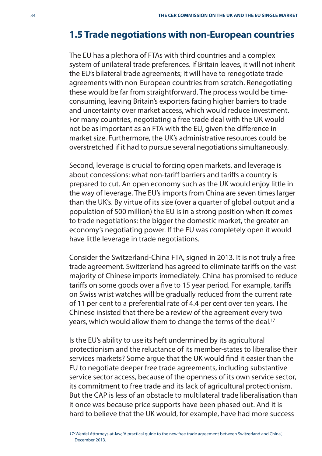# **1.5 Trade negotiations with non-European countries**

The EU has a plethora of FTAs with third countries and a complex system of unilateral trade preferences. If Britain leaves, it will not inherit the EU's bilateral trade agreements; it will have to renegotiate trade agreements with non-European countries from scratch. Renegotiating these would be far from straightforward. The process would be timeconsuming, leaving Britain's exporters facing higher barriers to trade and uncertainty over market access, which would reduce investment. For many countries, negotiating a free trade deal with the UK would not be as important as an FTA with the EU, given the difference in market size. Furthermore, the UK's administrative resources could be overstretched if it had to pursue several negotiations simultaneously.

Second, leverage is crucial to forcing open markets, and leverage is about concessions: what non-tariff barriers and tariffs a country is prepared to cut. An open economy such as the UK would enjoy little in the way of leverage. The EU's imports from China are seven times larger than the UK's. By virtue of its size (over a quarter of global output and a population of 500 million) the EU is in a strong position when it comes to trade negotiations: the bigger the domestic market, the greater an economy's negotiating power. If the EU was completely open it would have little leverage in trade negotiations.

Consider the Switzerland-China FTA, signed in 2013. It is not truly a free trade agreement. Switzerland has agreed to eliminate tariffs on the vast majority of Chinese imports immediately. China has promised to reduce tariffs on some goods over a five to 15 year period. For example, tariffs on Swiss wrist watches will be gradually reduced from the current rate of 11 per cent to a preferential rate of 4.4 per cent over ten years. The Chinese insisted that there be a review of the agreement every two years, which would allow them to change the terms of the deal.<sup>17</sup>

Is the EU's ability to use its heft undermined by its agricultural protectionism and the reluctance of its member-states to liberalise their services markets? Some argue that the UK would find it easier than the EU to negotiate deeper free trade agreements, including substantive service sector access, because of the openness of its own service sector, its commitment to free trade and its lack of agricultural protectionism. But the CAP is less of an obstacle to multilateral trade liberalisation than it once was because price supports have been phased out. And it is hard to believe that the UK would, for example, have had more success

17: Wenfei Attorneys-at-law, 'A practical guide to the new free trade agreement between Switzerland and China', December 2013.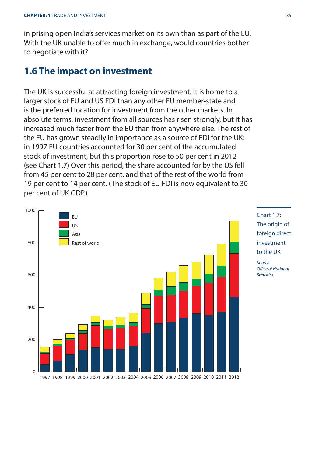in prising open India's services market on its own than as part of the EU. With the UK unable to offer much in exchange, would countries bother to negotiate with it?

## **1.6 The impact on investment**

The UK is successful at attracting foreign investment. It is home to a larger stock of EU and US FDI than any other EU member-state and is the preferred location for investment from the other markets. In absolute terms, investment from all sources has risen strongly, but it has increased much faster from the EU than from anywhere else. The rest of the EU has grown steadily in importance as a source of FDI for the UK: in 1997 EU countries accounted for 30 per cent of the accumulated stock of investment, but this proportion rose to 50 per cent in 2012 (see Chart 1.7) Over this period, the share accounted for by the US fell from 45 per cent to 28 per cent, and that of the rest of the world from 19 per cent to 14 per cent. (The stock of EU FDI is now equivalent to 30 per cent of UK GDP.)





Source: Office of National **Statistics**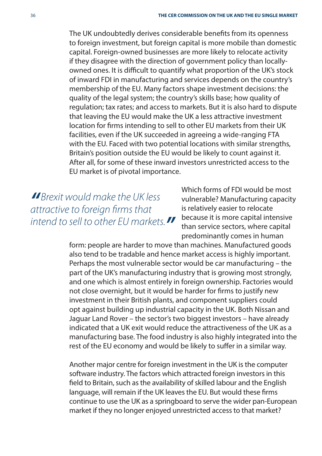The UK undoubtedly derives considerable benefits from its openness to foreign investment, but foreign capital is more mobile than domestic capital. Foreign-owned businesses are more likely to relocate activity if they disagree with the direction of government policy than locallyowned ones. It is difficult to quantify what proportion of the UK's stock of inward FDI in manufacturing and services depends on the country's membership of the EU. Many factors shape investment decisions: the quality of the legal system; the country's skills base; how quality of regulation; tax rates; and access to markets. But it is also hard to dispute that leaving the EU would make the UK a less attractive investment location for firms intending to sell to other EU markets from their UK facilities, even if the UK succeeded in agreeing a wide-ranging FTA with the EU. Faced with two potential locations with similar strengths, Britain's position outside the EU would be likely to count against it. After all, for some of these inward investors unrestricted access to the EU market is of pivotal importance.

**"**Brexit would make the UK less attractive to foreign firms that intend to sell to other EU markets.**"**

Which forms of FDI would be most vulnerable? Manufacturing capacity is relatively easier to relocate because it is more capital intensive than service sectors, where capital predominantly comes in human

form: people are harder to move than machines. Manufactured goods also tend to be tradable and hence market access is highly important. Perhaps the most vulnerable sector would be car manufacturing – the part of the UK's manufacturing industry that is growing most strongly, and one which is almost entirely in foreign ownership. Factories would not close overnight, but it would be harder for firms to justify new investment in their British plants, and component suppliers could opt against building up industrial capacity in the UK. Both Nissan and Jaguar Land Rover – the sector's two biggest investors – have already indicated that a UK exit would reduce the attractiveness of the UK as a manufacturing base. The food industry is also highly integrated into the rest of the EU economy and would be likely to suffer in a similar way.

Another major centre for foreign investment in the UK is the computer software industry. The factors which attracted foreign investors in this field to Britain, such as the availability of skilled labour and the English language, will remain if the UK leaves the EU. But would these firms continue to use the UK as a springboard to serve the wider pan-European market if they no longer enjoyed unrestricted access to that market?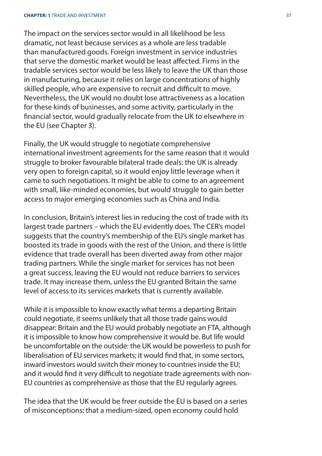The impact on the services sector would in all likelihood be less dramatic, not least because services as a whole are less tradable than manufactured goods. Foreign investment in service industries that serve the domestic market would be least affected. Firms in the tradable services sector would be less likely to leave the UK than those in manufacturing, because it relies on large concentrations of highly skilled people, who are expensive to recruit and difficult to move. Nevertheless, the UK would no doubt lose attractiveness as a location for these kinds of businesses, and some activity, particularly in the financial sector, would gradually relocate from the UK to elsewhere in the EU (see Chapter 3).

Finally, the UK would struggle to negotiate comprehensive international investment agreements for the same reason that it would struggle to broker favourable bilateral trade deals: the UK is already very open to foreign capital, so it would enjoy little leverage when it came to such negotiations. It might be able to come to an agreement with small, like-minded economies, but would struggle to gain better access to major emerging economies such as China and India.

In conclusion, Britain's interest lies in reducing the cost of trade with its largest trade partners – which the EU evidently does. The CER's model suggests that the country's membership of the EU's single market has boosted its trade in goods with the rest of the Union, and there is little evidence that trade overall has been diverted away from other major trading partners. While the single market for services has not been a great success, leaving the EU would not reduce barriers to services trade. It may increase them, unless the EU granted Britain the same level of access to its services markets that is currently available.

While it is impossible to know exactly what terms a departing Britain could negotiate, it seems unlikely that all those trade gains would disappear: Britain and the EU would probably negotiate an FTA, although it is impossible to know how comprehensive it would be. But life would be uncomfortable on the outside: the UK would be powerless to push for liberalisation of EU services markets; it would find that, in some sectors, inward investors would switch their money to countries inside the EU; and it would find it very difficult to negotiate trade agreements with non-EU countries as comprehensive as those that the EU regularly agrees.

The idea that the UK would be freer outside the EU is based on a series of misconceptions: that a medium-sized, open economy could hold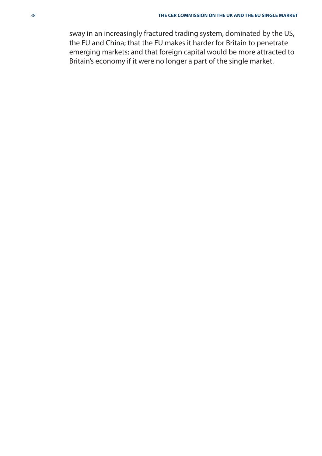sway in an increasingly fractured trading system, dominated by the US, the EU and China; that the EU makes it harder for Britain to penetrate emerging markets; and that foreign capital would be more attracted to Britain's economy if it were no longer a part of the single market.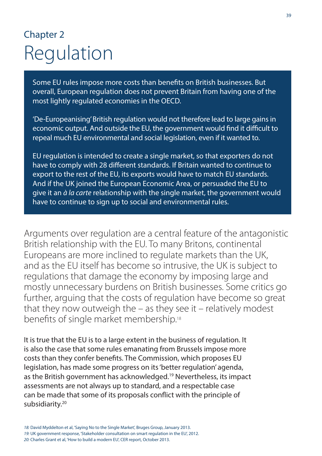## Chapter 2 Regulation

Some EU rules impose more costs than benefits on British businesses. But overall, European regulation does not prevent Britain from having one of the most lightly regulated economies in the OECD.

'De-Europeanising' British regulation would not therefore lead to large gains in economic output. And outside the EU, the government would find it difficult to repeal much EU environmental and social legislation, even if it wanted to.

EU regulation is intended to create a single market, so that exporters do not have to comply with 28 different standards. If Britain wanted to continue to export to the rest of the EU, its exports would have to match EU standards. And if the UK joined the European Economic Area, or persuaded the EU to give it an à la carte relationship with the single market, the government would have to continue to sign up to social and environmental rules.

Arguments over regulation are a central feature of the antagonistic British relationship with the EU. To many Britons, continental Europeans are more inclined to regulate markets than the UK, and as the EU itself has become so intrusive, the UK is subject to regulations that damage the economy by imposing large and mostly unnecessary burdens on British businesses. Some critics go further, arguing that the costs of regulation have become so great that they now outweigh the – as they see it – relatively modest benefits of single market membership.<sup>18</sup>

It is true that the EU is to a large extent in the business of regulation. It is also the case that some rules emanating from Brussels impose more costs than they confer benefits. The Commission, which proposes EU legislation, has made some progress on its 'better regulation' agenda, as the British government has acknowledged.19 Nevertheless, its impact assessments are not always up to standard, and a respectable case can be made that some of its proposals conflict with the principle of subsidiarity.<sup>20</sup>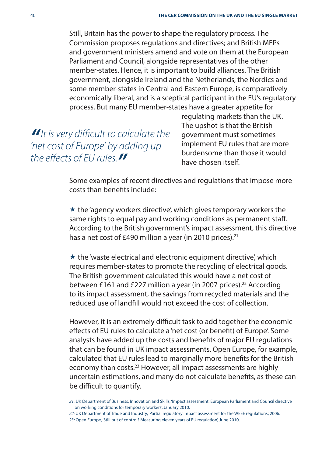Still, Britain has the power to shape the regulatory process. The Commission proposes regulations and directives; and British MEPs and government ministers amend and vote on them at the European Parliament and Council, alongside representatives of the other member-states. Hence, it is important to build alliances. The British government, alongside Ireland and the Netherlands, the Nordics and some member-states in Central and Eastern Europe, is comparatively economically liberal, and is a sceptical participant in the EU's regulatory process. But many EU member-states have a greater appetite for

*II* It is very difficult to calculate the 'net cost of Europe' by adding up the effects of EU rules.

regulating markets than the UK. The upshot is that the British government must sometimes implement EU rules that are more burdensome than those it would have chosen itself.

Some examples of recent directives and regulations that impose more costs than benefits include:

 $\star$  the 'agency workers directive', which gives temporary workers the same rights to equal pay and working conditions as permanent staff. According to the British government's impact assessment, this directive has a net cost of £490 million a year (in 2010 prices).<sup>21</sup>

 $\star$  the 'waste electrical and electronic equipment directive', which requires member-states to promote the recycling of electrical goods. The British government calculated this would have a net cost of between £161 and £227 million a year (in 2007 prices).<sup>22</sup> According to its impact assessment, the savings from recycled materials and the reduced use of landfill would not exceed the cost of collection.

However, it is an extremely difficult task to add together the economic effects of EU rules to calculate a 'net cost (or benefit) of Europe'. Some analysts have added up the costs and benefits of major EU regulations that can be found in UK impact assessments. Open Europe, for example, calculated that EU rules lead to marginally more benefits for the British economy than costs.<sup>23</sup> However, all impact assessments are highly uncertain estimations, and many do not calculate benefits, as these can be difficult to quantify.

22: UK Department of Trade and Industry, 'Partial regulatory impact assessment for the WEEE regulations', 2006. 23: Open Europe, 'Still out of control? Measuring eleven years of EU regulation', June 2010.

<sup>21:</sup> UK Department of Business, Innovation and Skills, 'Impact assessment: European Parliament and Council directive on working conditions for temporary workers', January 2010.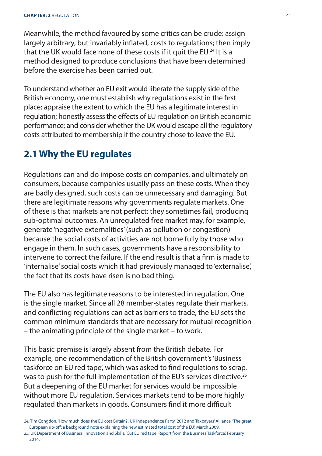Meanwhile, the method favoured by some critics can be crude: assign largely arbitrary, but invariably inflated, costs to regulations; then imply that the UK would face none of these costs if it quit the EU.<sup>24</sup> It is a method designed to produce conclusions that have been determined before the exercise has been carried out.

To understand whether an EU exit would liberate the supply side of the British economy, one must establish why regulations exist in the first place; appraise the extent to which the EU has a legitimate interest in regulation; honestly assess the effects of EU regulation on British economic performance; and consider whether the UK would escape all the regulatory costs attributed to membership if the country chose to leave the EU.

## **2.1 Why the EU regulates**

Regulations can and do impose costs on companies, and ultimately on consumers, because companies usually pass on these costs. When they are badly designed, such costs can be unnecessary and damaging. But there are legitimate reasons why governments regulate markets. One of these is that markets are not perfect: they sometimes fail, producing sub-optimal outcomes. An unregulated free market may, for example, generate 'negative externalities' (such as pollution or congestion) because the social costs of activities are not borne fully by those who engage in them. In such cases, governments have a responsibility to intervene to correct the failure. If the end result is that a firm is made to 'internalise' social costs which it had previously managed to 'externalise', the fact that its costs have risen is no bad thing.

The EU also has legitimate reasons to be interested in regulation. One is the single market. Since all 28 member-states regulate their markets, and conflicting regulations can act as barriers to trade, the EU sets the common minimum standards that are necessary for mutual recognition – the animating principle of the single market – to work.

This basic premise is largely absent from the British debate. For example, one recommendation of the British government's 'Business taskforce on EU red tape', which was asked to find regulations to scrap, was to push for the full implementation of the EU's services directive.<sup>25</sup> But a deepening of the EU market for services would be impossible without more EU regulation. Services markets tend to be more highly regulated than markets in goods. Consumers find it more difficult

<sup>24:</sup> Tim Congdon, 'How much does the EU cost Britain?', UK Independence Party, 2012 and Taxpayers' Alliance, 'The great European rip-off: a background note explaining the new estimated total cost of the EU', March 2009.

<sup>25:</sup> UK Department of Business, Innovation and Skills, 'Cut EU red tape: Report from the Business Taskforce', February 2014.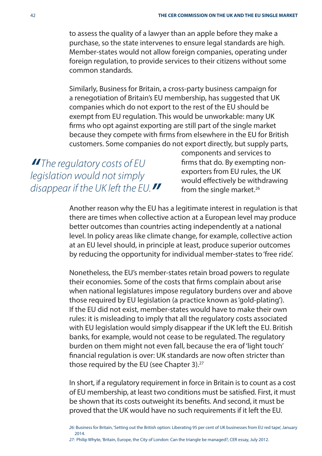to assess the quality of a lawyer than an apple before they make a purchase, so the state intervenes to ensure legal standards are high. Member-states would not allow foreign companies, operating under foreign regulation, to provide services to their citizens without some common standards.

Similarly, Business for Britain, a cross-party business campaign for a renegotiation of Britain's EU membership, has suggested that UK companies which do not export to the rest of the EU should be exempt from EU regulation. This would be unworkable: many UK firms who opt against exporting are still part of the single market because they compete with firms from elsewhere in the EU for British customers. Some companies do not export directly, but supply parts,

*"* The regulatory costs of EU legislation would not simply disappear if the UK left the EU.**"** components and services to firms that do. By exempting nonexporters from EU rules, the UK would effectively be withdrawing from the single market.<sup>26</sup>

Another reason why the EU has a legitimate interest in regulation is that there are times when collective action at a European level may produce better outcomes than countries acting independently at a national level. In policy areas like climate change, for example, collective action at an EU level should, in principle at least, produce superior outcomes by reducing the opportunity for individual member-states to 'free ride'.

Nonetheless, the EU's member-states retain broad powers to regulate their economies. Some of the costs that firms complain about arise when national legislatures impose regulatory burdens over and above those required by EU legislation (a practice known as 'gold-plating'). If the EU did not exist, member-states would have to make their own rules: it is misleading to imply that all the regulatory costs associated with EU legislation would simply disappear if the UK left the EU. British banks, for example, would not cease to be regulated. The regulatory burden on them might not even fall, because the era of 'light touch' financial regulation is over: UK standards are now often stricter than those required by the EU (see Chapter 3).<sup>27</sup>

In short, if a regulatory requirement in force in Britain is to count as a cost of EU membership, at least two conditions must be satisfied. First, it must be shown that its costs outweight its benefits. And second, it must be proved that the UK would have no such requirements if it left the EU.

<sup>26:</sup> Business for Britain, 'Setting out the British option: Liberating 95 per cent of UK businesses from EU red tape', January 2014.

<sup>27:</sup> Philip Whyte, 'Britain, Europe, the City of London: Can the triangle be managed?, CER essay, July 2012.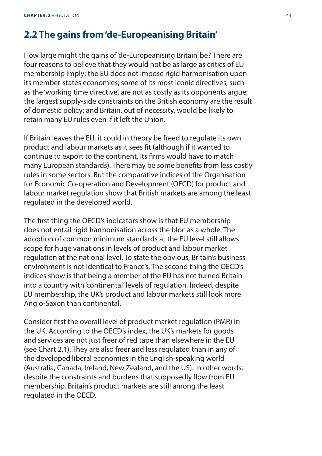## **2.2 The gains from 'de-Europeanising Britain'**

How large might the gains of 'de-Europeanising Britain' be? There are four reasons to believe that they would not be as large as critics of EU membership imply: the EU does not impose rigid harmonisation upon its member-states economies; some of its most iconic directives, such as the 'working time directive', are not as costly as its opponents argue; the largest supply-side constraints on the British economy are the result of domestic policy; and Britain, out of necessity, would be likely to retain many EU rules even if it left the Union.

If Britain leaves the EU, it could in theory be freed to regulate its own product and labour markets as it sees fit (although if it wanted to continue to export to the continent, its firms would have to match many European standards). There may be some benefits from less costly rules in some sectors. But the comparative indices of the Organisation for Economic Co-operation and Development (OECD) for product and labour market regulation show that British markets are among the least regulated in the developed world.

The first thing the OECD's indicators show is that EU membership does not entail rigid harmonisation across the bloc as a whole. The adoption of common minimum standards at the EU level still allows scope for huge variations in levels of product and labour market regulation at the national level. To state the obvious, Britain's business environment is not identical to France's. The second thing the OECD's indices show is that being a member of the EU has not turned Britain into a country with 'continental' levels of regulation. Indeed, despite EU membership, the UK's product and labour markets still look more Anglo-Saxon than continental.

Consider first the overall level of product market regulation (PMR) in the UK. According to the OECD's index, the UK's markets for goods and services are not just freer of red tape than elsewhere in the EU (see Chart 2.1). They are also freer and less regulated than in any of the developed liberal economies in the English-speaking world (Australia, Canada, Ireland, New Zealand, and the US). In other words, despite the constraints and burdens that supposedly flow from EU membership, Britain's product markets are still among the least regulated in the OECD.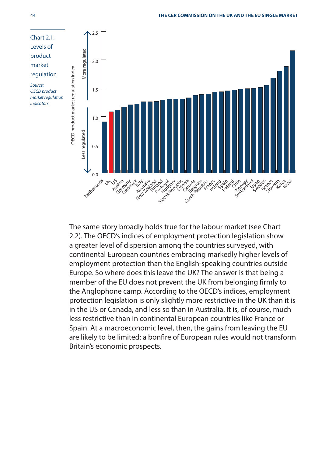

The same story broadly holds true for the labour market (see Chart 2.2). The OECD's indices of employment protection legislation show a greater level of dispersion among the countries surveyed, with continental European countries embracing markedly higher levels of employment protection than the English-speaking countries outside Europe. So where does this leave the UK? The answer is that being a member of the EU does not prevent the UK from belonging firmly to the Anglophone camp. According to the OECD's indices, employment protection legislation is only slightly more restrictive in the UK than it is in the US or Canada, and less so than in Australia. It is, of course, much less restrictive than in continental European countries like France or Spain. At a macroeconomic level, then, the gains from leaving the EU are likely to be limited: a bonfire of European rules would not transform Britain's economic prospects.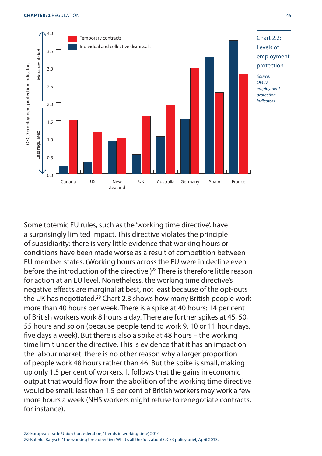

Some totemic EU rules, such as the 'working time directive', have a surprisingly limited impact. This directive violates the principle of subsidiarity: there is very little evidence that working hours or conditions have been made worse as a result of competition between EU member-states. (Working hours across the EU were in decline even before the introduction of the directive.)<sup>28</sup> There is therefore little reason for action at an EU level. Nonetheless, the working time directive's negative effects are marginal at best, not least because of the opt-outs the UK has negotiated.<sup>29</sup> Chart 2.3 shows how many British people work more than 40 hours per week. There is a spike at 40 hours: 14 per cent of British workers work 8 hours a day. There are further spikes at 45, 50, 55 hours and so on (because people tend to work 9, 10 or 11 hour days, five days a week). But there is also a spike at 48 hours – the working time limit under the directive. This is evidence that it has an impact on the labour market: there is no other reason why a larger proportion of people work 48 hours rather than 46. But the spike is small, making up only 1.5 per cent of workers. It follows that the gains in economic output that would flow from the abolition of the working time directive would be small: less than 1.5 per cent of British workers may work a few more hours a week (NHS workers might refuse to renegotiate contracts, for instance).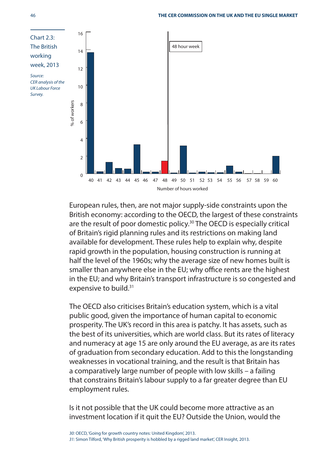

European rules, then, are not major supply-side constraints upon the British economy: according to the OECD, the largest of these constraints are the result of poor domestic policy.<sup>30</sup> The OECD is especially critical of Britain's rigid planning rules and its restrictions on making land available for development. These rules help to explain why, despite rapid growth in the population, housing construction is running at half the level of the 1960s; why the average size of new homes built is smaller than anywhere else in the EU; why office rents are the highest in the EU; and why Britain's transport infrastructure is so congested and expensive to build.<sup>31</sup>

The OECD also criticises Britain's education system, which is a vital public good, given the importance of human capital to economic prosperity. The UK's record in this area is patchy. It has assets, such as the best of its universities, which are world class. But its rates of literacy and numeracy at age 15 are only around the EU average, as are its rates of graduation from secondary education. Add to this the longstanding weaknesses in vocational training, and the result is that Britain has a comparatively large number of people with low skills – a failing that constrains Britain's labour supply to a far greater degree than EU employment rules.

Is it not possible that the UK could become more attractive as an investment location if it quit the EU? Outside the Union, would the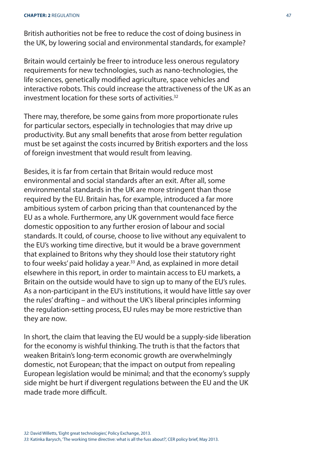British authorities not be free to reduce the cost of doing business in the UK, by lowering social and environmental standards, for example?

Britain would certainly be freer to introduce less onerous regulatory requirements for new technologies, such as nano-technologies, the life sciences, genetically modified agriculture, space vehicles and interactive robots. This could increase the attractiveness of the UK as an investment location for these sorts of activities<sup>32</sup>

There may, therefore, be some gains from more proportionate rules for particular sectors, especially in technologies that may drive up productivity. But any small benefits that arose from better regulation must be set against the costs incurred by British exporters and the loss of foreign investment that would result from leaving.

Besides, it is far from certain that Britain would reduce most environmental and social standards after an exit. After all, some environmental standards in the UK are more stringent than those required by the EU. Britain has, for example, introduced a far more ambitious system of carbon pricing than that countenanced by the EU as a whole. Furthermore, any UK government would face fierce domestic opposition to any further erosion of labour and social standards. It could, of course, choose to live without any equivalent to the EU's working time directive, but it would be a brave government that explained to Britons why they should lose their statutory right to four weeks' paid holiday a year.<sup>33</sup> And, as explained in more detail elsewhere in this report, in order to maintain access to EU markets, a Britain on the outside would have to sign up to many of the EU's rules. As a non-participant in the EU's institutions, it would have little say over the rules' drafting – and without the UK's liberal principles informing the regulation-setting process, EU rules may be more restrictive than they are now.

In short, the claim that leaving the EU would be a supply-side liberation for the economy is wishful thinking. The truth is that the factors that weaken Britain's long-term economic growth are overwhelmingly domestic, not European; that the impact on output from repealing European legislation would be minimal; and that the economy's supply side might be hurt if divergent regulations between the EU and the UK made trade more difficult.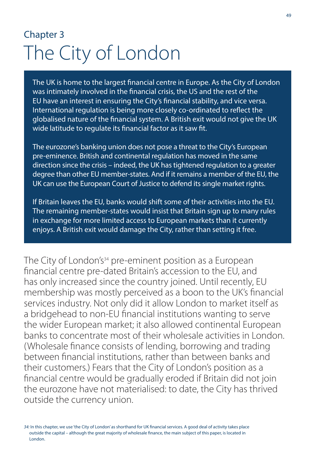## Chapter 3 The City of London

The UK is home to the largest financial centre in Europe. As the City of London was intimately involved in the financial crisis, the US and the rest of the EU have an interest in ensuring the City's financial stability, and vice versa. International regulation is being more closely co-ordinated to reflect the globalised nature of the financial system. A British exit would not give the UK wide latitude to regulate its financial factor as it saw fit.

The eurozone's banking union does not pose a threat to the City's European pre-eminence. British and continental regulation has moved in the same direction since the crisis – indeed, the UK has tightened regulation to a greater degree than other EU member-states. And if it remains a member of the EU, the UK can use the European Court of Justice to defend its single market rights.

If Britain leaves the EU, banks would shift some of their activities into the EU. The remaining member-states would insist that Britain sign up to many rules in exchange for more limited access to European markets than it currently enjoys. A British exit would damage the City, rather than setting it free.

The City of London's<sup>34</sup> pre-eminent position as a European financial centre pre-dated Britain's accession to the EU, and has only increased since the country joined. Until recently, EU membership was mostly perceived as a boon to the UK's financial services industry. Not only did it allow London to market itself as a bridgehead to non-EU financial institutions wanting to serve the wider European market; it also allowed continental European banks to concentrate most of their wholesale activities in London. (Wholesale finance consists of lending, borrowing and trading between financial institutions, rather than between banks and their customers.) Fears that the City of London's position as a financial centre would be gradually eroded if Britain did not join the eurozone have not materialised: to date, the City has thrived outside the currency union.

34: In this chapter, we use 'the City of London' as shorthand for UK financial services. A good deal of activity takes place outside the capital – although the great majority of wholesale finance, the main subject of this paper, is located in London.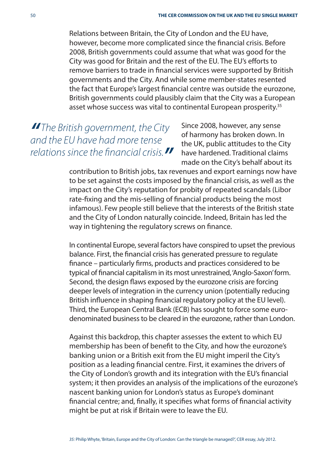Relations between Britain, the City of London and the EU have, however, become more complicated since the financial crisis. Before 2008, British governments could assume that what was good for the City was good for Britain and the rest of the EU. The EU's efforts to remove barriers to trade in financial services were supported by British governments and the City. And while some member-states resented the fact that Europe's largest financial centre was outside the eurozone, British governments could plausibly claim that the City was a European asset whose success was vital to continental European prosperity.<sup>35</sup>

*"* The British government, the City and the EU have had more tense relations since the financial crisis  $\blacksquare$ 

Since 2008, however, any sense of harmony has broken down. In the UK, public attitudes to the City have hardened. Traditional claims made on the City's behalf about its

contribution to British jobs, tax revenues and export earnings now have to be set against the costs imposed by the financial crisis, as well as the impact on the City's reputation for probity of repeated scandals (Libor rate-fixing and the mis-selling of financial products being the most infamous). Few people still believe that the interests of the British state and the City of London naturally coincide. Indeed, Britain has led the way in tightening the regulatory screws on finance.

In continental Europe, several factors have conspired to upset the previous balance. First, the financial crisis has generated pressure to regulate finance – particularly firms, products and practices considered to be typical of financial capitalism in its most unrestrained, 'Anglo-Saxon' form. Second, the design flaws exposed by the eurozone crisis are forcing deeper levels of integration in the currency union (potentially reducing British influence in shaping financial regulatory policy at the EU level). Third, the European Central Bank (ECB) has sought to force some eurodenominated business to be cleared in the eurozone, rather than London.

Against this backdrop, this chapter assesses the extent to which EU membership has been of benefit to the City, and how the eurozone's banking union or a British exit from the EU might imperil the City's position as a leading financial centre. First, it examines the drivers of the City of London's growth and its integration with the EU's financial system; it then provides an analysis of the implications of the eurozone's nascent banking union for London's status as Europe's dominant financial centre; and, finally, it specifies what forms of financial activity might be put at risk if Britain were to leave the EU.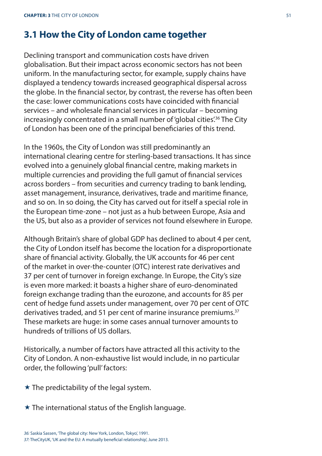## **3.1 How the City of London came together**

Declining transport and communication costs have driven globalisation. But their impact across economic sectors has not been uniform. In the manufacturing sector, for example, supply chains have displayed a tendency towards increased geographical dispersal across the globe. In the financial sector, by contrast, the reverse has often been the case: lower communications costs have coincided with financial services – and wholesale financial services in particular – becoming increasingly concentrated in a small number of 'global cities'.<sup>36</sup> The City of London has been one of the principal beneficiaries of this trend.

In the 1960s, the City of London was still predominantly an international clearing centre for sterling-based transactions. It has since evolved into a genuinely global financial centre, making markets in multiple currencies and providing the full gamut of financial services across borders – from securities and currency trading to bank lending, asset management, insurance, derivatives, trade and maritime finance, and so on. In so doing, the City has carved out for itself a special role in the European time-zone – not just as a hub between Europe, Asia and the US, but also as a provider of services not found elsewhere in Europe.

Although Britain's share of global GDP has declined to about 4 per cent, the City of London itself has become the location for a disproportionate share of financial activity. Globally, the UK accounts for 46 per cent of the market in over-the-counter (OTC) interest rate derivatives and 37 per cent of turnover in foreign exchange. In Europe, the City's size is even more marked: it boasts a higher share of euro-denominated foreign exchange trading than the eurozone, and accounts for 85 per cent of hedge fund assets under management, over 70 per cent of OTC derivatives traded, and 51 per cent of marine insurance premiums.<sup>37</sup> These markets are huge: in some cases annual turnover amounts to hundreds of trillions of US dollars.

Historically, a number of factors have attracted all this activity to the City of London. A non-exhaustive list would include, in no particular order, the following 'pull' factors:

- $\star$  The predictability of the legal system.
- $\star$  The international status of the English language.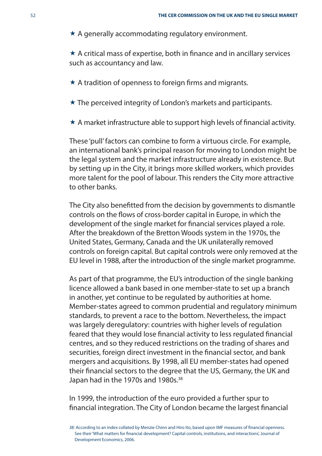$\star$  A generally accommodating regulatory environment.

 $\star$  A critical mass of expertise, both in finance and in ancillary services such as accountancy and law.

- $\star$  A tradition of openness to foreign firms and migrants.
- $\star$  The perceived integrity of London's markets and participants.
- $\star$  A market infrastructure able to support high levels of financial activity.

These 'pull' factors can combine to form a virtuous circle. For example, an international bank's principal reason for moving to London might be the legal system and the market infrastructure already in existence. But by setting up in the City, it brings more skilled workers, which provides more talent for the pool of labour. This renders the City more attractive to other banks.

The City also benefitted from the decision by governments to dismantle controls on the flows of cross-border capital in Europe, in which the development of the single market for financial services played a role. After the breakdown of the Bretton Woods system in the 1970s, the United States, Germany, Canada and the UK unilaterally removed controls on foreign capital. But capital controls were only removed at the EU level in 1988, after the introduction of the single market programme.

As part of that programme, the EU's introduction of the single banking licence allowed a bank based in one member-state to set up a branch in another, yet continue to be regulated by authorities at home. Member-states agreed to common prudential and regulatory minimum standards, to prevent a race to the bottom. Nevertheless, the impact was largely deregulatory: countries with higher levels of regulation feared that they would lose financial activity to less regulated financial centres, and so they reduced restrictions on the trading of shares and securities, foreign direct investment in the financial sector, and bank mergers and acquisitions. By 1998, all EU member-states had opened their financial sectors to the degree that the US, Germany, the UK and Japan had in the 1970s and 1980s.<sup>38</sup>

In 1999, the introduction of the euro provided a further spur to financial integration. The City of London became the largest financial

<sup>38:</sup> According to an index collated by Menzie Chinn and Hiro Ito, based upon IMF measures of financial openness. See their 'What matters for financial development? Capital controls, institutions, and interactions', Journal of Development Economics, 2006.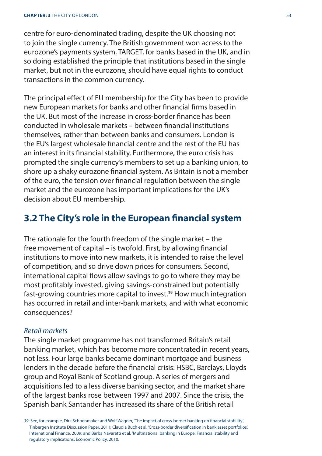centre for euro-denominated trading, despite the UK choosing not to join the single currency. The British government won access to the eurozone's payments system, TARGET, for banks based in the UK, and in so doing established the principle that institutions based in the single market, but not in the eurozone, should have equal rights to conduct transactions in the common currency.

The principal effect of EU membership for the City has been to provide new European markets for banks and other financial firms based in the UK. But most of the increase in cross-border finance has been conducted in wholesale markets – between financial institutions themselves, rather than between banks and consumers. London is the EU's largest wholesale financial centre and the rest of the EU has an interest in its financial stability. Furthermore, the euro crisis has prompted the single currency's members to set up a banking union, to shore up a shaky eurozone financial system. As Britain is not a member of the euro, the tension over financial regulation between the single market and the eurozone has important implications for the UK's decision about EU membership.

## **3.2 The City's role in the European financial system**

The rationale for the fourth freedom of the single market – the free movement of capital – is twofold. First, by allowing financial institutions to move into new markets, it is intended to raise the level of competition, and so drive down prices for consumers. Second, international capital flows allow savings to go to where they may be most profitably invested, giving savings-constrained but potentially fast-growing countries more capital to invest.<sup>39</sup> How much integration has occurred in retail and inter-bank markets, and with what economic consequences?

### Retail markets

The single market programme has not transformed Britain's retail banking market, which has become more concentrated in recent years, not less. Four large banks became dominant mortgage and business lenders in the decade before the financial crisis: HSBC, Barclays, Lloyds group and Royal Bank of Scotland group. A series of mergers and acquisitions led to a less diverse banking sector, and the market share of the largest banks rose between 1997 and 2007. Since the crisis, the Spanish bank Santander has increased its share of the British retail

<sup>39:</sup> See, for example, Dirk Schoenmaker and Wolf Wagner, 'The impact of cross-border banking on financial stability', Tinbergen Institute Discussion Paper, 2011; Claudia Buch et al, 'Cross-border diversifi cation in bank asset portfolios', International Finance, 2009; and Barba Navaretti et al, 'Multinational banking in Europe: Financial stability and regulatory implications', Economic Policy, 2010.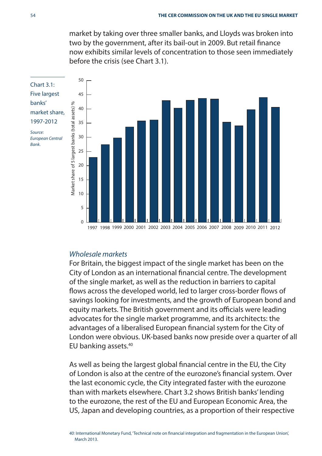market by taking over three smaller banks, and Lloyds was broken into two by the government, after its bail-out in 2009. But retail finance now exhibits similar levels of concentration to those seen immediately before the crisis (see Chart 3.1).



#### Wholesale markets

For Britain, the biggest impact of the single market has been on the City of London as an international financial centre. The development of the single market, as well as the reduction in barriers to capital flows across the developed world, led to larger cross-border flows of savings looking for investments, and the growth of European bond and equity markets. The British government and its officials were leading advocates for the single market programme, and its architects: the advantages of a liberalised European financial system for the City of London were obvious. UK-based banks now preside over a quarter of all EU banking assets.40

As well as being the largest global financial centre in the EU, the City of London is also at the centre of the eurozone's financial system. Over the last economic cycle, the City integrated faster with the eurozone than with markets elsewhere. Chart 3.2 shows British banks' lending to the eurozone, the rest of the EU and European Economic Area, the US, Japan and developing countries, as a proportion of their respective

40: International Monetary Fund, 'Technical note on financial integration and fragmentation in the European Union'. March 2013.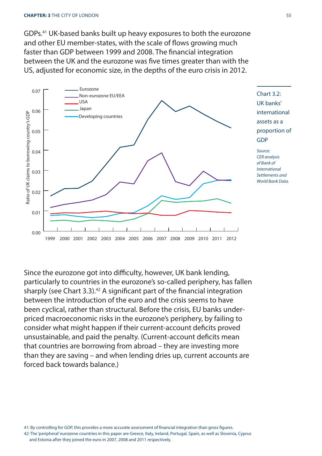GDPs.41 UK-based banks built up heavy exposures to both the eurozone and other EU member-states, with the scale of flows growing much faster than GDP between 1999 and 2008. The financial integration between the UK and the eurozone was five times greater than with the US, adjusted for economic size, in the depths of the euro crisis in 2012.



Chart 3.2: UK banks' international assets as a proportion of GDP

Source: CER analysis of Bank of International Settlements and World Bank Data.

Since the eurozone got into difficulty, however, UK bank lending, particularly to countries in the eurozone's so-called periphery, has fallen sharply (see Chart 3.3).<sup>42</sup> A significant part of the financial integration between the introduction of the euro and the crisis seems to have been cyclical, rather than structural. Before the crisis, EU banks underpriced macroeconomic risks in the eurozone's periphery, by failing to consider what might happen if their current-account deficits proved unsustainable, and paid the penalty. (Current-account deficits mean that countries are borrowing from abroad – they are investing more than they are saving – and when lending dries up, current accounts are forced back towards balance.)

41: By controlling for GDP, this provides a more accurate assessment of financial integration than gross figures. 42: The 'peripheral' eurozone countries in this paper are Greece, Italy, Ireland, Portugal, Spain, as well as Slovenia, Cyprus and Estonia after they joined the euro in 2007, 2008 and 2011 respectively.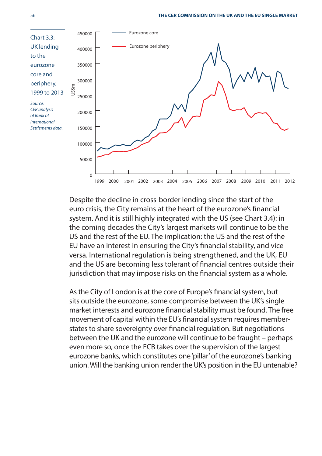

Despite the decline in cross-border lending since the start of the euro crisis, the City remains at the heart of the eurozone's financial system. And it is still highly integrated with the US (see Chart 3.4): in the coming decades the City's largest markets will continue to be the US and the rest of the EU. The implication: the US and the rest of the EU have an interest in ensuring the City's financial stability, and vice versa. International regulation is being strengthened, and the UK, EU and the US are becoming less tolerant of financial centres outside their jurisdiction that may impose risks on the financial system as a whole.

As the City of London is at the core of Europe's financial system, but sits outside the eurozone, some compromise between the UK's single market interests and eurozone financial stability must be found. The free movement of capital within the EU's financial system requires memberstates to share sovereignty over financial regulation. But negotiations between the UK and the eurozone will continue to be fraught – perhaps even more so, once the ECB takes over the supervision of the largest eurozone banks, which constitutes one 'pillar' of the eurozone's banking union. Will the banking union render the UK's position in the EU untenable?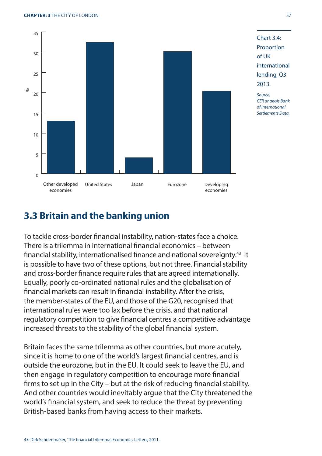

## **3.3 Britain and the banking union**

To tackle cross-border financial instability, nation-states face a choice. There is a trilemma in international financial economics – between financial stability, internationalised finance and national sovereignty.<sup>43</sup> It is possible to have two of these options, but not three. Financial stability and cross-border finance require rules that are agreed internationally. Equally, poorly co-ordinated national rules and the globalisation of financial markets can result in financial instability. After the crisis, the member-states of the EU, and those of the G20, recognised that international rules were too lax before the crisis, and that national regulatory competition to give financial centres a competitive advantage increased threats to the stability of the global financial system.

Britain faces the same trilemma as other countries, but more acutely, since it is home to one of the world's largest financial centres, and is outside the eurozone, but in the EU. It could seek to leave the EU, and then engage in regulatory competition to encourage more financial firms to set up in the City – but at the risk of reducing financial stability. And other countries would inevitably argue that the City threatened the world's financial system, and seek to reduce the threat by preventing British-based banks from having access to their markets.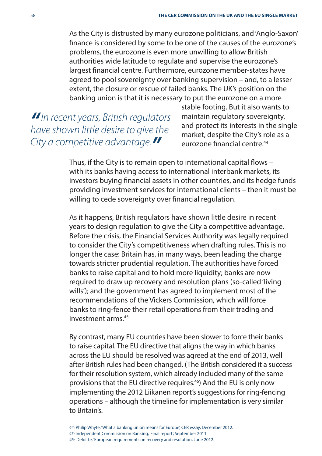As the City is distrusted by many eurozone politicians, and 'Anglo-Saxon' finance is considered by some to be one of the causes of the eurozone's problems, the eurozone is even more unwilling to allow British authorities wide latitude to regulate and supervise the eurozone's largest financial centre. Furthermore, eurozone member-states have agreed to pool sovereignty over banking supervision – and, to a lesser extent, the closure or rescue of failed banks. The UK's position on the banking union is that it is necessary to put the eurozone on a more

**"**In recent years, British regulators have shown little desire to give the City a competitive advantage.**"**

stable footing. But it also wants to maintain regulatory sovereignty, and protect its interests in the single market, despite the City's role as a eurozone financial centre<sup>44</sup>

Thus, if the City is to remain open to international capital flows with its banks having access to international interbank markets, its investors buying financial assets in other countries, and its hedge funds providing investment services for international clients – then it must be willing to cede sovereignty over financial regulation.

As it happens, British regulators have shown little desire in recent years to design regulation to give the City a competitive advantage. Before the crisis, the Financial Services Authority was legally required to consider the City's competitiveness when drafting rules. This is no longer the case: Britain has, in many ways, been leading the charge towards stricter prudential regulation. The authorities have forced banks to raise capital and to hold more liquidity; banks are now required to draw up recovery and resolution plans (so-called 'living wills'); and the government has agreed to implement most of the recommendations of the Vickers Commission, which will force banks to ring-fence their retail operations from their trading and investment arms<sup>45</sup>

By contrast, many EU countries have been slower to force their banks to raise capital. The EU directive that aligns the way in which banks across the EU should be resolved was agreed at the end of 2013, well after British rules had been changed. (The British considered it a success for their resolution system, which already included many of the same provisions that the EU directive requires.46) And the EU is only now implementing the 2012 Liikanen report's suggestions for ring-fencing operations – although the timeline for implementation is very similar to Britain's.

44: Philip Whyte, 'What a banking union means for Europe', CER essay, December 2012. 45: Independent Commission on Banking, 'Final report', September 2011. 46: Deloitte, 'European requirements on recovery and resolution', June 2012.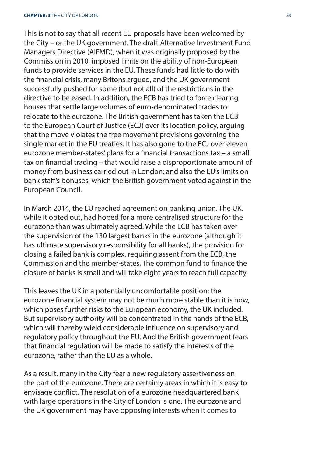This is not to say that all recent EU proposals have been welcomed by the City – or the UK government. The draft Alternative Investment Fund Managers Directive (AIFMD), when it was originally proposed by the Commission in 2010, imposed limits on the ability of non-European funds to provide services in the EU. These funds had little to do with the financial crisis, many Britons argued, and the UK government successfully pushed for some (but not all) of the restrictions in the directive to be eased. In addition, the ECB has tried to force clearing houses that settle large volumes of euro-denominated trades to relocate to the eurozone. The British government has taken the ECB to the European Court of Justice (ECJ) over its location policy, arguing that the move violates the free movement provisions governing the single market in the EU treaties. It has also gone to the ECJ over eleven eurozone member-states' plans for a financial transactions tax – a small tax on financial trading – that would raise a disproportionate amount of money from business carried out in London; and also the EU's limits on bank staff 's bonuses, which the British government voted against in the European Council.

In March 2014, the EU reached agreement on banking union. The UK, while it opted out, had hoped for a more centralised structure for the eurozone than was ultimately agreed. While the ECB has taken over the supervision of the 130 largest banks in the eurozone (although it has ultimate supervisory responsibility for all banks), the provision for closing a failed bank is complex, requiring assent from the ECB, the Commission and the member-states. The common fund to finance the closure of banks is small and will take eight years to reach full capacity.

This leaves the UK in a potentially uncomfortable position: the eurozone financial system may not be much more stable than it is now, which poses further risks to the European economy, the UK included. But supervisory authority will be concentrated in the hands of the ECB, which will thereby wield considerable influence on supervisory and regulatory policy throughout the EU. And the British government fears that financial regulation will be made to satisfy the interests of the eurozone, rather than the EU as a whole.

As a result, many in the City fear a new regulatory assertiveness on the part of the eurozone. There are certainly areas in which it is easy to envisage conflict. The resolution of a eurozone headquartered bank with large operations in the City of London is one. The eurozone and the UK government may have opposing interests when it comes to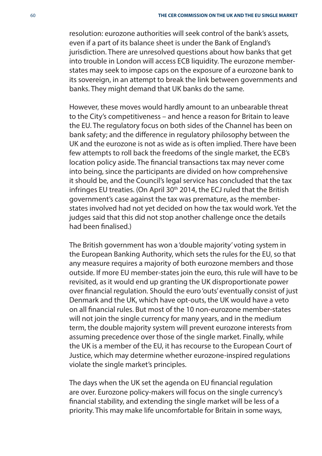resolution: eurozone authorities will seek control of the bank's assets, even if a part of its balance sheet is under the Bank of England's jurisdiction. There are unresolved questions about how banks that get into trouble in London will access ECB liquidity. The eurozone memberstates may seek to impose caps on the exposure of a eurozone bank to its sovereign, in an attempt to break the link between governments and banks. They might demand that UK banks do the same.

However, these moves would hardly amount to an unbearable threat to the City's competitiveness – and hence a reason for Britain to leave the EU. The regulatory focus on both sides of the Channel has been on bank safety; and the difference in regulatory philosophy between the UK and the eurozone is not as wide as is often implied. There have been few attempts to roll back the freedoms of the single market, the ECB's location policy aside. The financial transactions tax may never come into being, since the participants are divided on how comprehensive it should be, and the Council's legal service has concluded that the tax infringes EU treaties. (On April 30<sup>th</sup> 2014, the ECJ ruled that the British government's case against the tax was premature, as the memberstates involved had not yet decided on how the tax would work. Yet the judges said that this did not stop another challenge once the details had been finalised.)

The British government has won a 'double majority' voting system in the European Banking Authority, which sets the rules for the EU, so that any measure requires a majority of both eurozone members and those outside. If more EU member-states join the euro, this rule will have to be revisited, as it would end up granting the UK disproportionate power over financial regulation. Should the euro 'outs' eventually consist of just Denmark and the UK, which have opt-outs, the UK would have a veto on all financial rules. But most of the 10 non-eurozone member-states will not join the single currency for many years, and in the medium term, the double majority system will prevent eurozone interests from assuming precedence over those of the single market. Finally, while the UK is a member of the EU, it has recourse to the European Court of Justice, which may determine whether eurozone-inspired regulations violate the single market's principles.

The days when the UK set the agenda on EU financial regulation are over. Eurozone policy-makers will focus on the single currency's financial stability, and extending the single market will be less of a priority. This may make life uncomfortable for Britain in some ways,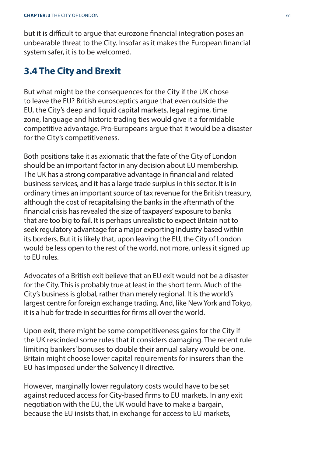but it is difficult to arque that eurozone financial integration poses an unbearable threat to the City. Insofar as it makes the European financial system safer, it is to be welcomed.

### **3.4 The City and Brexit**

But what might be the consequences for the City if the UK chose to leave the EU? British eurosceptics argue that even outside the EU, the City's deep and liquid capital markets, legal regime, time zone, language and historic trading ties would give it a formidable competitive advantage. Pro-Europeans argue that it would be a disaster for the City's competitiveness.

Both positions take it as axiomatic that the fate of the City of London should be an important factor in any decision about EU membership. The UK has a strong comparative advantage in financial and related business services, and it has a large trade surplus in this sector. It is in ordinary times an important source of tax revenue for the British treasury, although the cost of recapitalising the banks in the aftermath of the financial crisis has revealed the size of taxpayers' exposure to banks that are too big to fail. It is perhaps unrealistic to expect Britain not to seek regulatory advantage for a major exporting industry based within its borders. But it is likely that, upon leaving the EU, the City of London would be less open to the rest of the world, not more, unless it signed up to EU rules.

Advocates of a British exit believe that an EU exit would not be a disaster for the City. This is probably true at least in the short term. Much of the City's business is global, rather than merely regional. It is the world's largest centre for foreign exchange trading. And, like New York and Tokyo, it is a hub for trade in securities for firms all over the world.

Upon exit, there might be some competitiveness gains for the City if the UK rescinded some rules that it considers damaging. The recent rule limiting bankers' bonuses to double their annual salary would be one. Britain might choose lower capital requirements for insurers than the EU has imposed under the Solvency II directive.

However, marginally lower regulatory costs would have to be set against reduced access for City-based firms to EU markets. In any exit negotiation with the EU, the UK would have to make a bargain, because the EU insists that, in exchange for access to EU markets,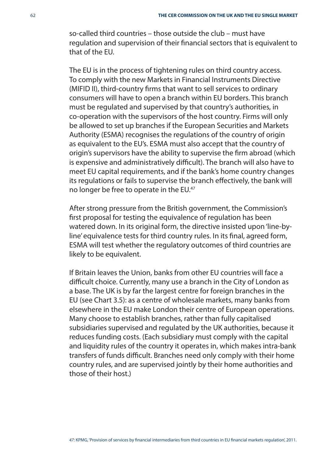so-called third countries – those outside the club – must have regulation and supervision of their financial sectors that is equivalent to that of the EU.

The EU is in the process of tightening rules on third country access. To comply with the new Markets in Financial Instruments Directive (MIFID II), third-country firms that want to sell services to ordinary consumers will have to open a branch within EU borders. This branch must be regulated and supervised by that country's authorities, in co-operation with the supervisors of the host country. Firms will only be allowed to set up branches if the European Securities and Markets Authority (ESMA) recognises the regulations of the country of origin as equivalent to the EU's. ESMA must also accept that the country of origin's supervisors have the ability to supervise the firm abroad (which is expensive and administratively difficult). The branch will also have to meet EU capital requirements, and if the bank's home country changes its regulations or fails to supervise the branch effectively, the bank will no longer be free to operate in the EU.<sup>47</sup>

After strong pressure from the British government, the Commission's first proposal for testing the equivalence of regulation has been watered down. In its original form, the directive insisted upon 'line-byline' equivalence tests for third country rules. In its final, agreed form, ESMA will test whether the regulatory outcomes of third countries are likely to be equivalent.

If Britain leaves the Union, banks from other EU countries will face a difficult choice. Currently, many use a branch in the City of London as a base. The UK is by far the largest centre for foreign branches in the EU (see Chart 3.5): as a centre of wholesale markets, many banks from elsewhere in the EU make London their centre of European operations. Many choose to establish branches, rather than fully capitalised subsidiaries supervised and regulated by the UK authorities, because it reduces funding costs. (Each subsidiary must comply with the capital and liquidity rules of the country it operates in, which makes intra-bank transfers of funds difficult. Branches need only comply with their home country rules, and are supervised jointly by their home authorities and those of their host.)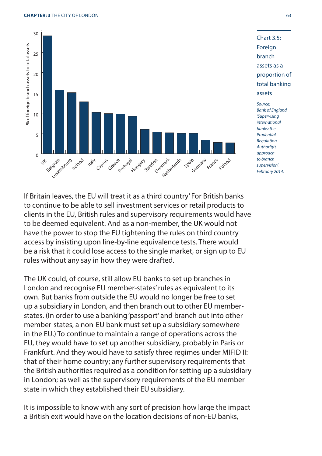



approach to branch supervision', February 2014.

If Britain leaves, the EU will treat it as a third country' For British banks to continue to be able to sell investment services or retail products to clients in the EU, British rules and supervisory requirements would have to be deemed equivalent. And as a non-member, the UK would not have the power to stop the EU tightening the rules on third country access by insisting upon line-by-line equivalence tests. There would be a risk that it could lose access to the single market, or sign up to EU rules without any say in how they were drafted.

The UK could, of course, still allow EU banks to set up branches in London and recognise EU member-states' rules as equivalent to its own. But banks from outside the EU would no longer be free to set up a subsidiary in London, and then branch out to other EU memberstates. (In order to use a banking 'passport' and branch out into other member-states, a non-EU bank must set up a subsidiary somewhere in the EU.) To continue to maintain a range of operations across the EU, they would have to set up another subsidiary, probably in Paris or Frankfurt. And they would have to satisfy three regimes under MIFID II: that of their home country; any further supervisory requirements that the British authorities required as a condition for setting up a subsidiary in London; as well as the supervisory requirements of the EU memberstate in which they established their EU subsidiary.

It is impossible to know with any sort of precision how large the impact a British exit would have on the location decisions of non-EU banks,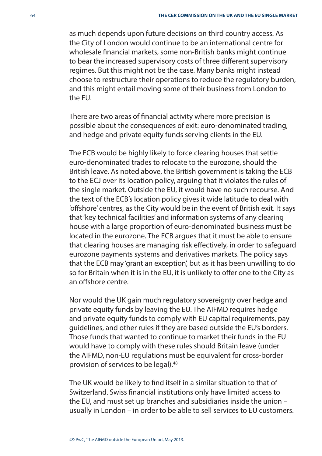as much depends upon future decisions on third country access. As the City of London would continue to be an international centre for wholesale financial markets, some non-British banks might continue to bear the increased supervisory costs of three different supervisory regimes. But this might not be the case. Many banks might instead choose to restructure their operations to reduce the regulatory burden, and this might entail moving some of their business from London to the EU.

There are two areas of financial activity where more precision is possible about the consequences of exit: euro-denominated trading, and hedge and private equity funds serving clients in the EU.

The ECB would be highly likely to force clearing houses that settle euro-denominated trades to relocate to the eurozone, should the British leave. As noted above, the British government is taking the ECB to the ECJ over its location policy, arguing that it violates the rules of the single market. Outside the EU, it would have no such recourse. And the text of the ECB's location policy gives it wide latitude to deal with 'offshore' centres, as the City would be in the event of British exit. It says that 'key technical facilities' and information systems of any clearing house with a large proportion of euro-denominated business must be located in the eurozone. The ECB argues that it must be able to ensure that clearing houses are managing risk effectively, in order to safeguard eurozone payments systems and derivatives markets. The policy says that the ECB may 'grant an exception', but as it has been unwilling to do so for Britain when it is in the EU, it is unlikely to offer one to the City as an offshore centre

Nor would the UK gain much regulatory sovereignty over hedge and private equity funds by leaving the EU. The AIFMD requires hedge and private equity funds to comply with EU capital requirements, pay guidelines, and other rules if they are based outside the EU's borders. Those funds that wanted to continue to market their funds in the EU would have to comply with these rules should Britain leave (under the AIFMD, non-EU regulations must be equivalent for cross-border provision of services to be legal).48

The UK would be likely to find itself in a similar situation to that of Switzerland. Swiss financial institutions only have limited access to the EU, and must set up branches and subsidiaries inside the union – usually in London – in order to be able to sell services to EU customers.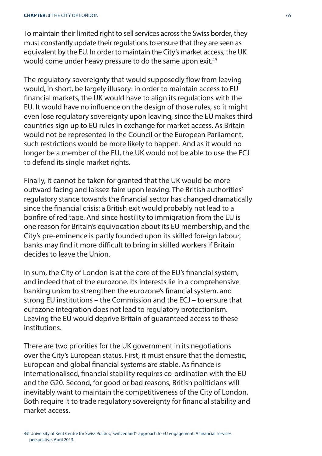#### **CHAPTER: 3** THE CITY OF LONDON 65

To maintain their limited right to sell services across the Swiss border, they must constantly update their regulations to ensure that they are seen as equivalent by the EU. In order to maintain the City's market access, the UK would come under heavy pressure to do the same upon exit.<sup>49</sup>

The regulatory sovereignty that would supposedly flow from leaving would, in short, be largely illusory: in order to maintain access to EU financial markets, the UK would have to align its regulations with the EU. It would have no influence on the design of those rules, so it might even lose regulatory sovereignty upon leaving, since the EU makes third countries sign up to EU rules in exchange for market access. As Britain would not be represented in the Council or the European Parliament, such restrictions would be more likely to happen. And as it would no longer be a member of the EU, the UK would not be able to use the ECJ to defend its single market rights.

Finally, it cannot be taken for granted that the UK would be more outward-facing and laissez-faire upon leaving. The British authorities' regulatory stance towards the financial sector has changed dramatically since the financial crisis: a British exit would probably not lead to a bonfire of red tape. And since hostility to immigration from the EU is one reason for Britain's equivocation about its EU membership, and the City's pre-eminence is partly founded upon its skilled foreign labour, banks may find it more difficult to bring in skilled workers if Britain decides to leave the Union.

In sum, the City of London is at the core of the EU's financial system, and indeed that of the eurozone. Its interests lie in a comprehensive banking union to strengthen the eurozone's financial system, and strong EU institutions – the Commission and the ECJ – to ensure that eurozone integration does not lead to regulatory protectionism. Leaving the EU would deprive Britain of guaranteed access to these institutions.

There are two priorities for the UK government in its negotiations over the City's European status. First, it must ensure that the domestic, European and global financial systems are stable. As finance is internationalised, financial stability requires co-ordination with the EU and the G20. Second, for good or bad reasons, British politicians will inevitably want to maintain the competitiveness of the City of London. Both require it to trade regulatory sovereignty for financial stability and market access.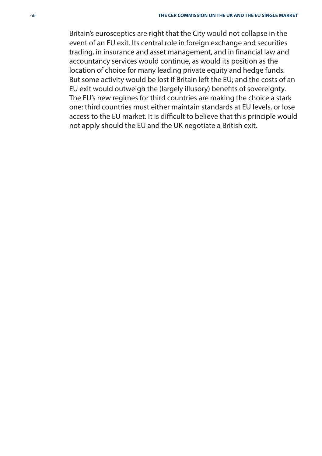Britain's eurosceptics are right that the City would not collapse in the event of an EU exit. Its central role in foreign exchange and securities trading, in insurance and asset management, and in financial law and accountancy services would continue, as would its position as the location of choice for many leading private equity and hedge funds. But some activity would be lost if Britain left the EU; and the costs of an EU exit would outweigh the (largely illusory) benefits of sovereignty. The EU's new regimes for third countries are making the choice a stark one: third countries must either maintain standards at EU levels, or lose access to the EU market. It is difficult to believe that this principle would not apply should the EU and the UK negotiate a British exit.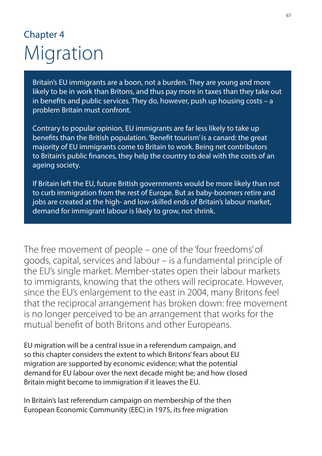# Chapter 4 Migration

Britain's EU immigrants are a boon, not a burden. They are young and more likely to be in work than Britons, and thus pay more in taxes than they take out in benefits and public services. They do, however, push up housing costs  $- a$ problem Britain must confront.

Contrary to popular opinion, EU immigrants are far less likely to take up benefits than the British population. 'Benefit tourism' is a canard: the great majority of EU immigrants come to Britain to work. Being net contributors to Britain's public finances, they help the country to deal with the costs of an ageing society.

If Britain left the EU, future British governments would be more likely than not to curb immigration from the rest of Europe. But as baby-boomers retire and jobs are created at the high- and low-skilled ends of Britain's labour market, demand for immigrant labour is likely to grow, not shrink.

The free movement of people – one of the 'four freedoms' of goods, capital, services and labour – is a fundamental principle of the EU's single market. Member-states open their labour markets to immigrants, knowing that the others will reciprocate. However, since the EU's enlargement to the east in 2004, many Britons feel that the reciprocal arrangement has broken down: free movement is no longer perceived to be an arrangement that works for the mutual benefit of both Britons and other Europeans.

EU migration will be a central issue in a referendum campaign, and so this chapter considers the extent to which Britons' fears about EU migration are supported by economic evidence; what the potential demand for EU labour over the next decade might be; and how closed Britain might become to immigration if it leaves the EU.

In Britain's last referendum campaign on membership of the then European Economic Community (EEC) in 1975, its free migration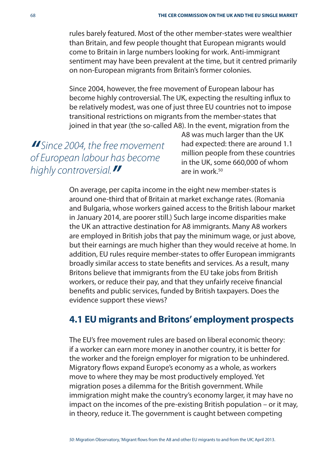rules barely featured. Most of the other member-states were wealthier than Britain, and few people thought that European migrants would come to Britain in large numbers looking for work. Anti-immigrant sentiment may have been prevalent at the time, but it centred primarily on non-European migrants from Britain's former colonies.

Since 2004, however, the free movement of European labour has become highly controversial. The UK, expecting the resulting influx to be relatively modest, was one of just three EU countries not to impose transitional restrictions on migrants from the member-states that joined in that year (the so-called A8). In the event, migration from the

**"** Since 2004, the free movement of European labour has become highly controversial.**"**

A8 was much larger than the UK had expected: there are around 1.1 million people from these countries in the UK, some 660,000 of whom are in work $50$ 

On average, per capita income in the eight new member-states is around one-third that of Britain at market exchange rates. (Romania and Bulgaria, whose workers gained access to the British labour market in January 2014, are poorer still.) Such large income disparities make the UK an attractive destination for A8 immigrants. Many A8 workers are employed in British jobs that pay the minimum wage, or just above, but their earnings are much higher than they would receive at home. In addition, EU rules require member-states to offer European immigrants broadly similar access to state benefits and services. As a result, many Britons believe that immigrants from the EU take jobs from British workers, or reduce their pay, and that they unfairly receive financial benefits and public services, funded by British taxpayers. Does the evidence support these views?

### **4.1 EU migrants and Britons' employment prospects**

The EU's free movement rules are based on liberal economic theory: if a worker can earn more money in another country, it is better for the worker and the foreign employer for migration to be unhindered. Migratory flows expand Europe's economy as a whole, as workers move to where they may be most productively employed. Yet migration poses a dilemma for the British government. While immigration might make the country's economy larger, it may have no impact on the incomes of the pre-existing British population – or it may, in theory, reduce it. The government is caught between competing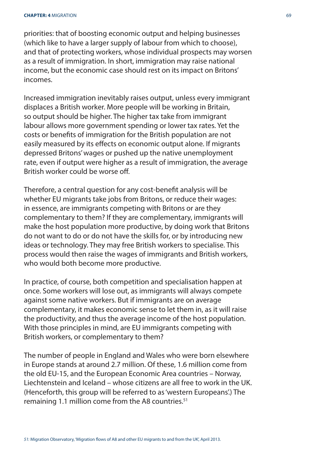priorities: that of boosting economic output and helping businesses (which like to have a larger supply of labour from which to choose), and that of protecting workers, whose individual prospects may worsen as a result of immigration. In short, immigration may raise national income, but the economic case should rest on its impact on Britons' incomes.

Increased immigration inevitably raises output, unless every immigrant displaces a British worker. More people will be working in Britain, so output should be higher. The higher tax take from immigrant labour allows more government spending or lower tax rates. Yet the costs or benefits of immigration for the British population are not easily measured by its effects on economic output alone. If migrants depressed Britons' wages or pushed up the native unemployment rate, even if output were higher as a result of immigration, the average British worker could be worse off .

Therefore, a central question for any cost-benefit analysis will be whether EU migrants take jobs from Britons, or reduce their wages: in essence, are immigrants competing with Britons or are they complementary to them? If they are complementary, immigrants will make the host population more productive, by doing work that Britons do not want to do or do not have the skills for, or by introducing new ideas or technology. They may free British workers to specialise. This process would then raise the wages of immigrants and British workers, who would both become more productive.

In practice, of course, both competition and specialisation happen at once. Some workers will lose out, as immigrants will always compete against some native workers. But if immigrants are on average complementary, it makes economic sense to let them in, as it will raise the productivity, and thus the average income of the host population. With those principles in mind, are EU immigrants competing with British workers, or complementary to them?

The number of people in England and Wales who were born elsewhere in Europe stands at around 2.7 million. Of these, 1.6 million come from the old EU-15, and the European Economic Area countries – Norway, Liechtenstein and Iceland – whose citizens are all free to work in the UK. (Henceforth, this group will be referred to as 'western Europeans'.) The remaining 1.1 million come from the A8 countries.<sup>51</sup>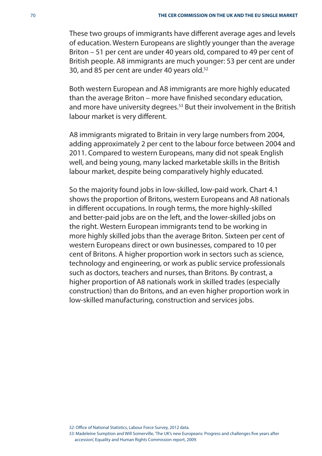These two groups of immigrants have different average ages and levels of education. Western Europeans are slightly younger than the average Briton – 51 per cent are under 40 years old, compared to 49 per cent of British people. A8 immigrants are much younger: 53 per cent are under 30, and 85 per cent are under 40 years old.<sup>52</sup>

Both western European and A8 immigrants are more highly educated than the average Briton – more have finished secondary education, and more have university degrees.<sup>53</sup> But their involvement in the British labour market is very different.

A8 immigrants migrated to Britain in very large numbers from 2004, adding approximately 2 per cent to the labour force between 2004 and 2011. Compared to western Europeans, many did not speak English well, and being young, many lacked marketable skills in the British labour market, despite being comparatively highly educated.

So the majority found jobs in low-skilled, low-paid work. Chart 4.1 shows the proportion of Britons, western Europeans and A8 nationals in different occupations. In rough terms, the more highly-skilled and better-paid jobs are on the left, and the lower-skilled jobs on the right. Western European immigrants tend to be working in more highly skilled jobs than the average Briton. Sixteen per cent of western Europeans direct or own businesses, compared to 10 per cent of Britons. A higher proportion work in sectors such as science, technology and engineering, or work as public service professionals such as doctors, teachers and nurses, than Britons. By contrast, a higher proportion of A8 nationals work in skilled trades (especially construction) than do Britons, and an even higher proportion work in low-skilled manufacturing, construction and services jobs.

52: Office of National Statistics, Labour Force Survey, 2012 data.

53: Madeleine Sumption and Will Somerville, 'The UK's new Europeans: Progress and challenges five years after accession' Equality and Human Rights Commission report, 2009.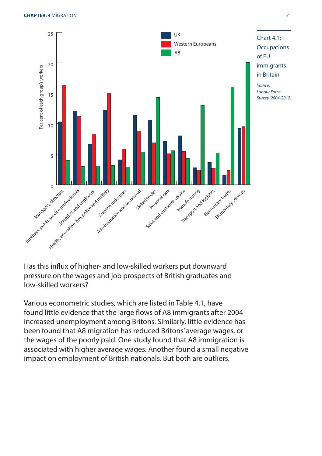

Has this influx of higher- and low-skilled workers put downward pressure on the wages and job prospects of British graduates and low-skilled workers?

Various econometric studies, which are listed in Table 4.1, have found little evidence that the large flows of A8 immigrants after 2004 increased unemployment among Britons. Similarly, little evidence has been found that A8 migration has reduced Britons' average wages, or the wages of the poorly paid. One study found that A8 immigration is associated with higher average wages. Another found a small negative impact on employment of British nationals. But both are outliers.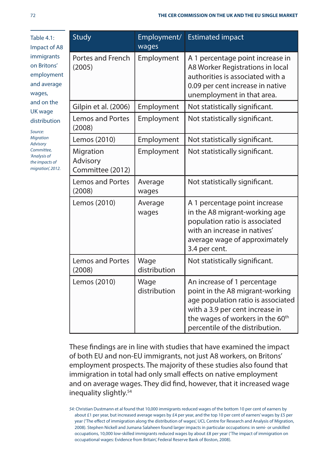| <b>Table 4.1:</b><br>Impact of A8<br>immigrants<br>on Britons'<br>employment<br>and average<br>wages,<br>and on the<br>UK wage<br>distribution<br>Source:<br><b>Migration</b><br><b>Advisory</b><br>Committee,<br>'Analysis of<br>the impacts of<br>migration, 2012. | <b>Study</b>                              | Employment/<br>wages | <b>Estimated impact</b>                                                                                                                                                                                                    |
|----------------------------------------------------------------------------------------------------------------------------------------------------------------------------------------------------------------------------------------------------------------------|-------------------------------------------|----------------------|----------------------------------------------------------------------------------------------------------------------------------------------------------------------------------------------------------------------------|
|                                                                                                                                                                                                                                                                      | Portes and French<br>(2005)               | Employment           | A 1 percentage point increase in<br>A8 Worker Registrations in local<br>authorities is associated with a<br>0.09 per cent increase in native<br>unemployment in that area.                                                 |
|                                                                                                                                                                                                                                                                      | Gilpin et al. (2006)                      | Employment           | Not statistically significant.                                                                                                                                                                                             |
|                                                                                                                                                                                                                                                                      | Lemos and Portes<br>(2008)                | Employment           | Not statistically significant.                                                                                                                                                                                             |
|                                                                                                                                                                                                                                                                      | Lemos (2010)                              | Employment           | Not statistically significant.                                                                                                                                                                                             |
|                                                                                                                                                                                                                                                                      | Migration<br>Advisory<br>Committee (2012) | Employment           | Not statistically significant.                                                                                                                                                                                             |
|                                                                                                                                                                                                                                                                      | <b>Lemos and Portes</b><br>(2008)         | Average<br>wages     | Not statistically significant.                                                                                                                                                                                             |
|                                                                                                                                                                                                                                                                      | Lemos (2010)                              | Average<br>wages     | A 1 percentage point increase<br>in the A8 migrant-working age<br>population ratio is associated<br>with an increase in natives'<br>average wage of approximately<br>3.4 per cent.                                         |
|                                                                                                                                                                                                                                                                      | Lemos and Portes<br>(2008)                | Wage<br>distribution | Not statistically significant.                                                                                                                                                                                             |
|                                                                                                                                                                                                                                                                      | Lemos (2010)                              | Wage<br>distribution | An increase of 1 percentage<br>point in the A8 migrant-working<br>age population ratio is associated<br>with a 3.9 per cent increase in<br>the wages of workers in the 60 <sup>th</sup><br>percentile of the distribution. |

These findings are in line with studies that have examined the impact of both EU and non-EU immigrants, not just A8 workers, on Britons' employment prospects. The majority of these studies also found that immigration in total had only small effects on native employment and on average wages. They did find, however, that it increased wage inequality slightly.<sup>54</sup>

54: Christian Dustmann et al found that 10,000 immigrants reduced wages of the bottom 10 per cent of earners by about £1 per year, but increased average wages by £4 per year, and the top 10 per cent of earners' wages by £5 per year ('The effect of immigration along the distribution of wages', UCL Centre for Research and Analysis of Migration, 2008). Stephen Nickell and Jumana Salaheen found larger impacts in particular occupations: in semi- or unskilled occupations, 10,000 low-skilled immigrants reduced wages by about £8 per year ('The impact of immigration on occupational wages: Evidence from Britain', Federal Reserve Bank of Boston, 2008).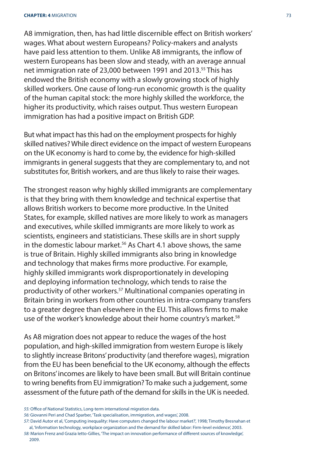A8 immigration, then, has had little discernible effect on British workers' wages. What about western Europeans? Policy-makers and analysts have paid less attention to them. Unlike A8 immigrants, the inflow of western Europeans has been slow and steady, with an average annual net immigration rate of 23,000 between 1991 and 2013.<sup>55</sup> This has endowed the British economy with a slowly growing stock of highly skilled workers. One cause of long-run economic growth is the quality of the human capital stock: the more highly skilled the workforce, the higher its productivity, which raises output. Thus western European immigration has had a positive impact on British GDP.

But what impact has this had on the employment prospects for highly skilled natives? While direct evidence on the impact of western Europeans on the UK economy is hard to come by, the evidence for high-skilled immigrants in general suggests that they are complementary to, and not substitutes for, British workers, and are thus likely to raise their wages.

The strongest reason why highly skilled immigrants are complementary is that they bring with them knowledge and technical expertise that allows British workers to become more productive. In the United States, for example, skilled natives are more likely to work as managers and executives, while skilled immigrants are more likely to work as scientists, engineers and statisticians. These skills are in short supply in the domestic labour market.<sup>56</sup> As Chart 4.1 above shows, the same is true of Britain. Highly skilled immigrants also bring in knowledge and technology that makes firms more productive. For example, highly skilled immigrants work disproportionately in developing and deploying information technology, which tends to raise the productivity of other workers.57 Multinational companies operating in Britain bring in workers from other countries in intra-company transfers to a greater degree than elsewhere in the EU. This allows firms to make use of the worker's knowledge about their home country's market.<sup>58</sup>

As A8 migration does not appear to reduce the wages of the host population, and high-skilled immigration from western Europe is likely to slightly increase Britons' productivity (and therefore wages), migration from the EU has been beneficial to the UK economy, although the effects on Britons' incomes are likely to have been small. But will Britain continue to wring benefits from EU immigration? To make such a judgement, some assessment of the future path of the demand for skills in the UK is needed.

56: Giovanni Peri and Chad Sparber, 'Task specialisation, immigration, and wages', 2008.

<sup>55:</sup> Office of National Statistics, Long-term international migration data.

<sup>57:</sup> David Autor et al, 'Computing inequality: Have computers changed the labour market?', 1998; Timothy Bresnahan et al, 'Information technology, workplace organization and the demand for skilled labor: Firm-level evidence', 2003.

<sup>58:</sup> Marion Frenz and Grazia letto-Gillies, 'The impact on innovation performance of different sources of knowledge', 2009.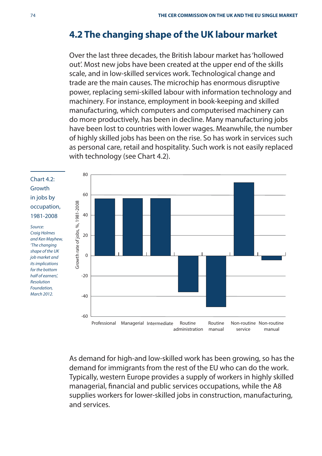#### **4.2 The changing shape of the UK labour market**

Over the last three decades, the British labour market has 'hollowed out'. Most new jobs have been created at the upper end of the skills scale, and in low-skilled services work. Technological change and trade are the main causes. The microchip has enormous disruptive power, replacing semi-skilled labour with information technology and machinery. For instance, employment in book-keeping and skilled manufacturing, which computers and computerised machinery can do more productively, has been in decline. Many manufacturing jobs have been lost to countries with lower wages. Meanwhile, the number of highly skilled jobs has been on the rise. So has work in services such as personal care, retail and hospitality. Such work is not easily replaced with technology (see Chart 4.2).

Chart 4.2: Growth in jobs by occupation, 1981-2008

Source: Craig Holmes and Ken Mayhew, 'The changing shape of the UK job market and its implications for the bottom half of earners', Resolution Foundation, March 2012.



As demand for high-and low-skilled work has been growing, so has the demand for immigrants from the rest of the EU who can do the work. Typically, western Europe provides a supply of workers in highly skilled managerial, financial and public services occupations, while the A8 supplies workers for lower-skilled jobs in construction, manufacturing, and services.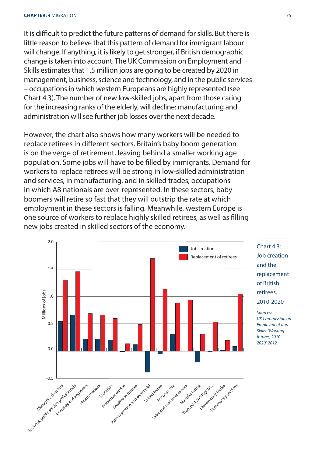It is difficult to predict the future patterns of demand for skills. But there is little reason to believe that this pattern of demand for immigrant labour will change. If anything, it is likely to get stronger, if British demographic change is taken into account. The UK Commission on Employment and Skills estimates that 1.5 million jobs are going to be created by 2020 in management, business, science and technology, and in the public services – occupations in which western Europeans are highly represented (see Chart 4.3). The number of new low-skilled jobs, apart from those caring for the increasing ranks of the elderly, will decline: manufacturing and administration will see further job losses over the next decade.

However, the chart also shows how many workers will be needed to replace retirees in different sectors. Britain's baby boom generation is on the verge of retirement, leaving behind a smaller working age population. Some jobs will have to be filled by immigrants. Demand for workers to replace retirees will be strong in low-skilled administration and services, in manufacturing, and in skilled trades, occupations in which A8 nationals are over-represented. In these sectors, babyboomers will retire so fast that they will outstrip the rate at which employment in these sectors is falling. Meanwhile, western Europe is one source of workers to replace highly skilled retirees, as well as filling new jobs created in skilled sectors of the economy.



 $Charf 43$ Job creation and the replacement of British retirees, 2010-2020 Sources:

UK Commission on Employment and Skills, 'Working futures, 2010- 2020', 2012.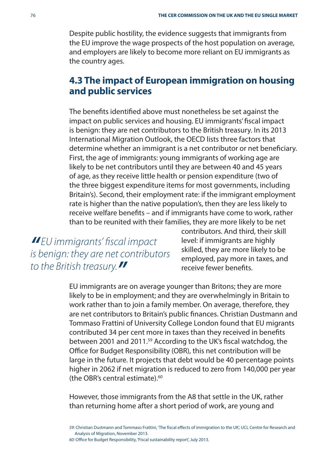Despite public hostility, the evidence suggests that immigrants from the EU improve the wage prospects of the host population on average, and employers are likely to become more reliant on EU immigrants as the country ages.

#### **4.3 The impact of European immigration on housing and public services**

The benefits identified above must nonetheless be set against the impact on public services and housing. EU immigrants' fiscal impact is benign: they are net contributors to the British treasury. In its 2013 International Migration Outlook, the OECD lists three factors that determine whether an immigrant is a net contributor or net beneficiary. First, the age of immigrants: young immigrants of working age are likely to be net contributors until they are between 40 and 45 years of age, as they receive little health or pension expenditure (two of the three biggest expenditure items for most governments, including Britain's). Second, their employment rate: if the immigrant employment rate is higher than the native population's, then they are less likely to receive welfare benefits – and if immigrants have come to work, rather than to be reunited with their families, they are more likely to be net

**"** EU immigrants' fiscal impact is benign: they are net contributors to the British treasury.**"**

contributors. And third, their skill level: if immigrants are highly skilled, they are more likely to be employed, pay more in taxes, and receive fewer benefits

EU immigrants are on average younger than Britons; they are more likely to be in employment; and they are overwhelmingly in Britain to work rather than to join a family member. On average, therefore, they are net contributors to Britain's public finances. Christian Dustmann and Tommaso Frattini of University College London found that EU migrants contributed 34 per cent more in taxes than they received in benefits between 2001 and 2011.<sup>59</sup> According to the UK's fiscal watchdog, the Office for Budget Responsibility (OBR), this net contribution will be large in the future. It projects that debt would be 40 percentage points higher in 2062 if net migration is reduced to zero from 140,000 per year (the OBR's central estimate). $60$ 

However, those immigrants from the A8 that settle in the UK, rather than returning home after a short period of work, are young and

59: Christian Dustmann and Tommaso Frattini, 'The fiscal effects of immigration to the UK', UCL Centre for Research and Analysis of Migration, November 2013. 60: Office for Budget Responsibility, 'Fiscal sustainability report', July 2013.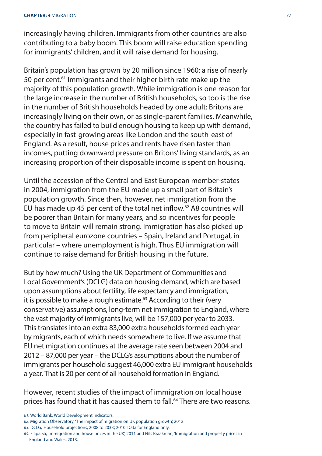increasingly having children. Immigrants from other countries are also contributing to a baby boom. This boom will raise education spending for immigrants' children, and it will raise demand for housing.

Britain's population has grown by 20 million since 1960; a rise of nearly 50 per cent.<sup>61</sup> Immigrants and their higher birth rate make up the majority of this population growth. While immigration is one reason for the large increase in the number of British households, so too is the rise in the number of British households headed by one adult: Britons are increasingly living on their own, or as single-parent families. Meanwhile, the country has failed to build enough housing to keep up with demand, especially in fast-growing areas like London and the south-east of England. As a result, house prices and rents have risen faster than incomes, putting downward pressure on Britons' living standards, as an increasing proportion of their disposable income is spent on housing.

Until the accession of the Central and East European member-states in 2004, immigration from the EU made up a small part of Britain's population growth. Since then, however, net immigration from the EU has made up 45 per cent of the total net inflow.<sup>62</sup> A8 countries will be poorer than Britain for many years, and so incentives for people to move to Britain will remain strong. Immigration has also picked up from peripheral eurozone countries – Spain, Ireland and Portugal, in particular – where unemployment is high. Thus EU immigration will continue to raise demand for British housing in the future.

But by how much? Using the UK Department of Communities and Local Government's (DCLG) data on housing demand, which are based upon assumptions about fertility, life expectancy and immigration, it is possible to make a rough estimate.<sup>63</sup> According to their (very conservative) assumptions, long-term net immigration to England, where the vast majority of immigrants live, will be 157,000 per year to 2033. This translates into an extra 83,000 extra households formed each year by migrants, each of which needs somewhere to live. If we assume that EU net migration continues at the average rate seen between 2004 and 2012 – 87,000 per year – the DCLG's assumptions about the number of immigrants per household suggest 46,000 extra EU immigrant households a year. That is 20 per cent of all household formation in England.

However, recent studies of the impact of immigration on local house prices has found that it has caused them to fall.<sup>64</sup> There are two reasons.

<sup>61:</sup> World Bank, World Development Indicators.

<sup>62:</sup> Migration Observatory, 'The impact of migration on UK population growth', 2012.

<sup>63:</sup> DCLG, 'Household projections, 2008 to 2033', 2010. Data for England only.

<sup>64:</sup> Filipa Sá, 'Immigration and house prices in the UK', 2011 and Nils Braakman, 'Immigration and property prices in England and Wales', 2013.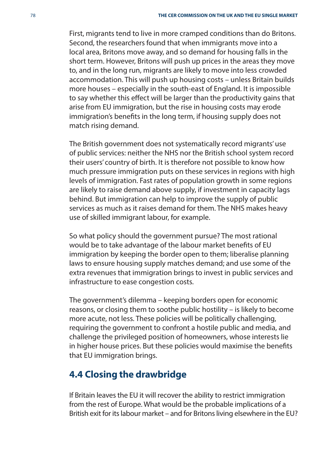First, migrants tend to live in more cramped conditions than do Britons. Second, the researchers found that when immigrants move into a local area, Britons move away, and so demand for housing falls in the short term. However, Britons will push up prices in the areas they move to, and in the long run, migrants are likely to move into less crowded accommodation. This will push up housing costs – unless Britain builds more houses – especially in the south-east of England. It is impossible to say whether this effect will be larger than the productivity gains that arise from EU immigration, but the rise in housing costs may erode immigration's benefits in the long term, if housing supply does not match rising demand.

The British government does not systematically record migrants' use of public services: neither the NHS nor the British school system record their users' country of birth. It is therefore not possible to know how much pressure immigration puts on these services in regions with high levels of immigration. Fast rates of population growth in some regions are likely to raise demand above supply, if investment in capacity lags behind. But immigration can help to improve the supply of public services as much as it raises demand for them. The NHS makes heavy use of skilled immigrant labour, for example.

So what policy should the government pursue? The most rational would be to take advantage of the labour market benefits of EU immigration by keeping the border open to them; liberalise planning laws to ensure housing supply matches demand; and use some of the extra revenues that immigration brings to invest in public services and infrastructure to ease congestion costs.

The government's dilemma – keeping borders open for economic reasons, or closing them to soothe public hostility – is likely to become more acute, not less. These policies will be politically challenging, requiring the government to confront a hostile public and media, and challenge the privileged position of homeowners, whose interests lie in higher house prices. But these policies would maximise the benefits that EU immigration brings.

#### **4.4 Closing the drawbridge**

If Britain leaves the EU it will recover the ability to restrict immigration from the rest of Europe. What would be the probable implications of a British exit for its labour market – and for Britons living elsewhere in the EU?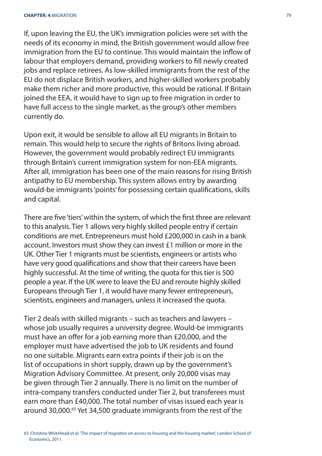If, upon leaving the EU, the UK's immigration policies were set with the needs of its economy in mind, the British government would allow free immigration from the EU to continue. This would maintain the inflow of labour that employers demand, providing workers to fill newly created jobs and replace retirees. As low-skilled immigrants from the rest of the EU do not displace British workers, and higher-skilled workers probably make them richer and more productive, this would be rational. If Britain joined the EEA, it would have to sign up to free migration in order to have full access to the single market, as the group's other members currently do.

Upon exit, it would be sensible to allow all EU migrants in Britain to remain. This would help to secure the rights of Britons living abroad. However, the government would probably redirect EU immigrants through Britain's current immigration system for non-EEA migrants. After all, immigration has been one of the main reasons for rising British antipathy to EU membership. This system allows entry by awarding would-be immigrants 'points' for possessing certain qualifications, skills and capital.

There are five 'tiers' within the system, of which the first three are relevant to this analysis. Tier 1 allows very highly skilled people entry if certain conditions are met. Entrepreneurs must hold £200,000 in cash in a bank account. Investors must show they can invest £1 million or more in the UK. Other Tier 1 migrants must be scientists, engineers or artists who have very good qualifications and show that their careers have been highly successful. At the time of writing, the quota for this tier is 500 people a year. If the UK were to leave the EU and reroute highly skilled Europeans through Tier 1, it would have many fewer entrepreneurs, scientists, engineers and managers, unless it increased the quota.

Tier 2 deals with skilled migrants – such as teachers and lawyers – whose job usually requires a university degree. Would-be immigrants must have an offer for a job earning more than £20,000, and the employer must have advertised the job to UK residents and found no one suitable. Migrants earn extra points if their job is on the list of occupations in short supply, drawn up by the government's Migration Advisory Committee. At present, only 20,000 visas may be given through Tier 2 annually. There is no limit on the number of intra-company transfers conducted under Tier 2, but transferees must earn more than £40,000. The total number of visas issued each year is around 30,000.65 Yet 34,500 graduate immigrants from the rest of the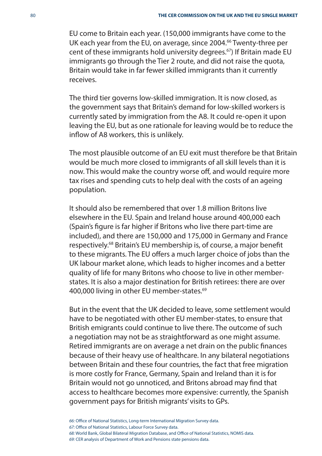EU come to Britain each year. (150,000 immigrants have come to the UK each year from the EU, on average, since 2004.<sup>66</sup> Twenty-three per cent of these immigrants hold university degrees.67) If Britain made EU immigrants go through the Tier 2 route, and did not raise the quota, Britain would take in far fewer skilled immigrants than it currently receives.

The third tier governs low-skilled immigration. It is now closed, as the government says that Britain's demand for low-skilled workers is currently sated by immigration from the A8. It could re-open it upon leaving the EU, but as one rationale for leaving would be to reduce the inflow of A8 workers, this is unlikely.

The most plausible outcome of an EU exit must therefore be that Britain would be much more closed to immigrants of all skill levels than it is now. This would make the country worse off, and would require more tax rises and spending cuts to help deal with the costs of an ageing population.

It should also be remembered that over 1.8 million Britons live elsewhere in the EU. Spain and Ireland house around 400,000 each (Spain's figure is far higher if Britons who live there part-time are included), and there are 150,000 and 175,000 in Germany and France respectively.<sup>68</sup> Britain's EU membership is, of course, a major benefit to these migrants. The EU offers a much larger choice of jobs than the UK labour market alone, which leads to higher incomes and a better quality of life for many Britons who choose to live in other memberstates. It is also a major destination for British retirees: there are over 400,000 living in other EU member-states.<sup>69</sup>

But in the event that the UK decided to leave, some settlement would have to be negotiated with other EU member-states, to ensure that British emigrants could continue to live there. The outcome of such a negotiation may not be as straightforward as one might assume. Retired immigrants are on average a net drain on the public finances because of their heavy use of healthcare. In any bilateral negotiations between Britain and these four countries, the fact that free migration is more costly for France, Germany, Spain and Ireland than it is for Britain would not go unnoticed, and Britons abroad may find that access to healthcare becomes more expensive: currently, the Spanish government pays for British migrants' visits to GPs.

66: Office of National Statistics, Long-term International Migration Survey data. 67: Office of National Statistics, Labour Force Survey data. 68: World Bank, Global Bilateral Migration Database, and Office of National Statistics, NOMIS data. 69: CER analysis of Department of Work and Pensions state pensions data.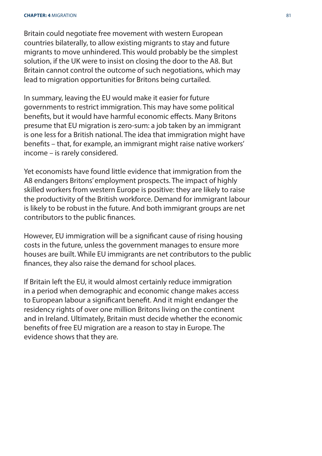#### **CHAPTER: 4** MIGRATION 81

Britain could negotiate free movement with western European countries bilaterally, to allow existing migrants to stay and future migrants to move unhindered. This would probably be the simplest solution, if the UK were to insist on closing the door to the A8. But Britain cannot control the outcome of such negotiations, which may lead to migration opportunities for Britons being curtailed.

In summary, leaving the EU would make it easier for future governments to restrict immigration. This may have some political benefits, but it would have harmful economic effects. Many Britons presume that EU migration is zero-sum: a job taken by an immigrant is one less for a British national. The idea that immigration might have benefits – that, for example, an immigrant might raise native workers' income – is rarely considered.

Yet economists have found little evidence that immigration from the A8 endangers Britons' employment prospects. The impact of highly skilled workers from western Europe is positive: they are likely to raise the productivity of the British workforce. Demand for immigrant labour is likely to be robust in the future. And both immigrant groups are net contributors to the public finances.

However, EU immigration will be a significant cause of rising housing costs in the future, unless the government manages to ensure more houses are built. While EU immigrants are net contributors to the public finances, they also raise the demand for school places.

If Britain left the EU, it would almost certainly reduce immigration in a period when demographic and economic change makes access to European labour a significant benefit. And it might endanger the residency rights of over one million Britons living on the continent and in Ireland. Ultimately, Britain must decide whether the economic benefits of free EU migration are a reason to stay in Europe. The evidence shows that they are.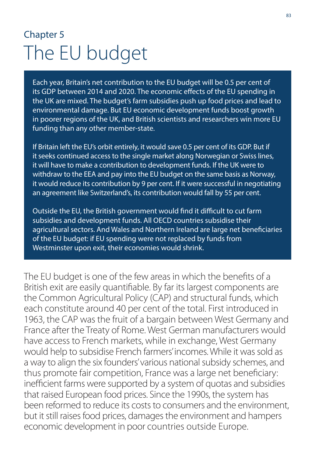## Chapter 5 The EU budget

Each year, Britain's net contribution to the EU budget will be 0.5 per cent of its GDP between 2014 and 2020. The economic effects of the EU spending in the UK are mixed. The budget's farm subsidies push up food prices and lead to environmental damage. But EU economic development funds boost growth in poorer regions of the UK, and British scientists and researchers win more EU funding than any other member-state.

If Britain left the EU's orbit entirely, it would save 0.5 per cent of its GDP. But if it seeks continued access to the single market along Norwegian or Swiss lines, it will have to make a contribution to development funds. If the UK were to withdraw to the EEA and pay into the EU budget on the same basis as Norway, it would reduce its contribution by 9 per cent. If it were successful in negotiating an agreement like Switzerland's, its contribution would fall by 55 per cent.

Outside the EU, the British government would find it difficult to cut farm subsidies and development funds. All OECD countries subsidise their agricultural sectors. And Wales and Northern Ireland are large net beneficiaries of the EU budget: if EU spending were not replaced by funds from Westminster upon exit, their economies would shrink.

The EU budget is one of the few areas in which the benefits of a British exit are easily quantifiable. By far its largest components are the Common Agricultural Policy (CAP) and structural funds, which each constitute around 40 per cent of the total. First introduced in 1963, the CAP was the fruit of a bargain between West Germany and France after the Treaty of Rome. West German manufacturers would have access to French markets, while in exchange, West Germany would help to subsidise French farmers' incomes. While it was sold as a way to align the six founders' various national subsidy schemes, and thus promote fair competition, France was a large net beneficiary: inefficient farms were supported by a system of quotas and subsidies that raised European food prices. Since the 1990s, the system has been reformed to reduce its costs to consumers and the environment, but it still raises food prices, damages the environment and hampers economic development in poor countries outside Europe.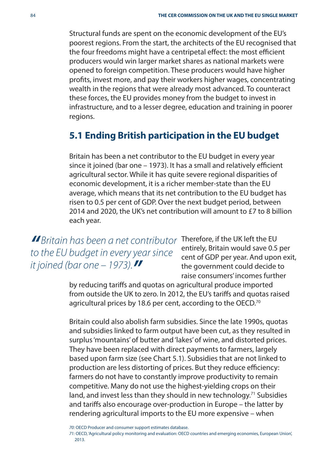Structural funds are spent on the economic development of the EU's poorest regions. From the start, the architects of the EU recognised that the four freedoms might have a centripetal effect: the most efficient producers would win larger market shares as national markets were opened to foreign competition. These producers would have higher profits, invest more, and pay their workers higher wages, concentrating wealth in the regions that were already most advanced. To counteract these forces, the EU provides money from the budget to invest in infrastructure, and to a lesser degree, education and training in poorer regions.

#### **5.1 Ending British participation in the EU budget**

Britain has been a net contributor to the EU budget in every year since it joined (bar one - 1973). It has a small and relatively efficient agricultural sector. While it has quite severe regional disparities of economic development, it is a richer member-state than the EU average, which means that its net contribution to the EU budget has risen to 0.5 per cent of GDP. Over the next budget period, between 2014 and 2020, the UK's net contribution will amount to £7 to 8 billion each year.

**"** Britain has been a net contributor to the EU budget in every year since it joined (bar one  $-1973$ ).

Therefore, if the UK left the EU entirely, Britain would save 0.5 per cent of GDP per year. And upon exit, the government could decide to raise consumers' incomes further

by reducing tariffs and quotas on agricultural produce imported from outside the UK to zero. In 2012, the EU's tariffs and quotas raised agricultural prices by 18.6 per cent, according to the OECD.<sup>70</sup>

Britain could also abolish farm subsidies. Since the late 1990s, quotas and subsidies linked to farm output have been cut, as they resulted in surplus 'mountains' of butter and 'lakes' of wine, and distorted prices. They have been replaced with direct payments to farmers, largely based upon farm size (see Chart 5.1). Subsidies that are not linked to production are less distorting of prices. But they reduce efficiency: farmers do not have to constantly improve productivity to remain competitive. Many do not use the highest-yielding crops on their land, and invest less than they should in new technology.<sup>71</sup> Subsidies and tariffs also encourage over-production in Europe – the latter by rendering agricultural imports to the EU more expensive – when

70: OECD Producer and consumer support estimates database.

71: OECD, 'Agricultural policy monitoring and evaluation: OECD countries and emerging economies, European Union', 2013.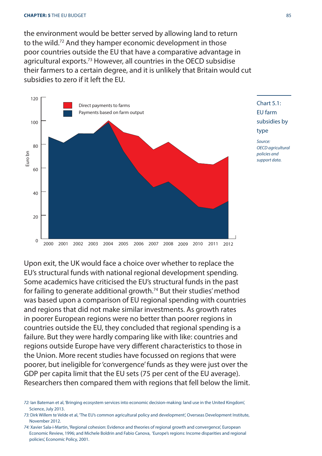the environment would be better served by allowing land to return to the wild.72 And they hamper economic development in those poor countries outside the EU that have a comparative advantage in agricultural exports.73 However, all countries in the OECD subsidise their farmers to a certain degree, and it is unlikely that Britain would cut subsidies to zero if it left the EU.



Chart 5.1: EU farm subsidies by type

Source: OECD agricultural policies and support data.

Upon exit, the UK would face a choice over whether to replace the EU's structural funds with national regional development spending. Some academics have criticised the EU's structural funds in the past for failing to generate additional growth.74 But their studies' method was based upon a comparison of EU regional spending with countries and regions that did not make similar investments. As growth rates in poorer European regions were no better than poorer regions in countries outside the EU, they concluded that regional spending is a failure. But they were hardly comparing like with like: countries and regions outside Europe have very different characteristics to those in the Union. More recent studies have focussed on regions that were poorer, but ineligible for 'convergence' funds as they were just over the GDP per capita limit that the EU sets (75 per cent of the EU average). Researchers then compared them with regions that fell below the limit.

<sup>72:</sup> Ian Bateman et al, 'Bringing ecosystem services into economic decision-making: land use in the United Kingdom', Science, July 2013.

<sup>73:</sup> Dirk Willem te Velde et al, 'The EU's common agricultural policy and development', Overseas Development Institute, November 2012.

<sup>74:</sup> Xavier Sala-i-Martin, 'Regional cohesion: Evidence and theories of regional growth and convergence', European Economic Review, 1996; and Michele Boldrin and Fabio Canova, 'Europe's regions: Income disparities and regional policies', Economic Policy, 2001.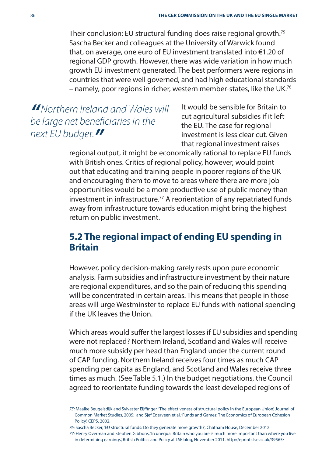Their conclusion: EU structural funding does raise regional growth.75 Sascha Becker and colleagues at the University of Warwick found that, on average, one euro of EU investment translated into €1.20 of regional GDP growth. However, there was wide variation in how much growth EU investment generated. The best performers were regions in countries that were well governed, and had high educational standards – namely, poor regions in richer, western member-states, like the UK.76

**"**Northern Ireland and Wales will be large net beneficiaries in the next EU budget.**"**

It would be sensible for Britain to cut agricultural subsidies if it left the EU. The case for regional investment is less clear cut. Given that regional investment raises

regional output, it might be economically rational to replace EU funds with British ones. Critics of regional policy, however, would point out that educating and training people in poorer regions of the UK and encouraging them to move to areas where there are more job opportunities would be a more productive use of public money than investment in infrastructure.<sup>77</sup> A reorientation of any repatriated funds away from infrastructure towards education might bring the highest return on public investment.

#### **5.2 The regional impact of ending EU spending in Britain**

However, policy decision-making rarely rests upon pure economic analysis. Farm subsidies and infrastructure investment by their nature are regional expenditures, and so the pain of reducing this spending will be concentrated in certain areas. This means that people in those areas will urge Westminster to replace EU funds with national spending if the UK leaves the Union.

Which areas would suffer the largest losses if EU subsidies and spending were not replaced? Northern Ireland, Scotland and Wales will receive much more subsidy per head than England under the current round of CAP funding. Northern Ireland receives four times as much CAP spending per capita as England, and Scotland and Wales receive three times as much. (See Table 5.1.) In the budget negotiations, the Council agreed to reorientate funding towards the least developed regions of

76: Sascha Becker, 'EU structural funds: Do they generate more growth?', Chatham House, December 2012.

<sup>75:</sup> Maaike Beugelsdijk and Sylvester Eijffinger, 'The effectiveness of structural policy in the European Union', Journal of Common Market Studies, 2005; and Sjef Ederveen et al, 'Funds and Games: The Economics of European Cohesion Policy', CEPS, 2002.

<sup>77:</sup> Henry Overman and Stephen Gibbons, 'In unequal Britain who you are is much more important than where you live in determining earnings', British Politics and Policy at LSE blog, November 2011. http://eprints.lse.ac.uk/39565/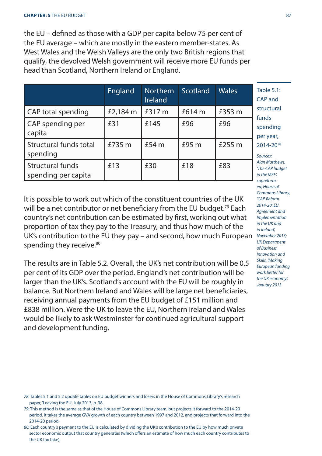#### **CHAPTER: 5** THE EU BUDGET 87

the EU – defined as those with a GDP per capita below 75 per cent of the EU average – which are mostly in the eastern member-states. As West Wales and the Welsh Valleys are the only two British regions that qualify, the devolved Welsh government will receive more EU funds per head than Scotland, Northern Ireland or England.

|                                         | England  | <b>Northern</b><br><b>Ireland</b> | Scotland                | <b>Wales</b> | Table 5.1:<br>CAP and                                                                                                                  |
|-----------------------------------------|----------|-----------------------------------|-------------------------|--------------|----------------------------------------------------------------------------------------------------------------------------------------|
| CAP total spending                      | £2,184 m | £317 m<br>£145<br>f54m            | £614 $m$<br>£96<br>f95m | £353 m       | structural<br>funds<br>spending<br>per year,<br>2014-2078<br>Sources:<br>Alan Matthews.<br>'The CAP budget<br>in the MFF.<br>capreform |
| CAP spending per<br>capita              | £31      |                                   |                         | £96          |                                                                                                                                        |
| Structural funds total<br>spending      | £735 m   |                                   |                         | £255 m       |                                                                                                                                        |
| Structural funds<br>spending per capita | £13      | £30                               | £18                     | £83          |                                                                                                                                        |

It is possible to work out which of the constituent countries of the UK will be a net contributor or net beneficiary from the EU budget.<sup>79</sup> Each country's net contribution can be estimated by first, working out what proportion of tax they pay to the Treasury, and thus how much of the UK's contribution to the EU they pay – and second, how much European spending they receive.<sup>80</sup>

The results are in Table 5.2. Overall, the UK's net contribution will be 0.5 per cent of its GDP over the period. England's net contribution will be larger than the UK's. Scotland's account with the EU will be roughly in balance. But Northern Ireland and Wales will be large net beneficiaries, receiving annual payments from the EU budget of £151 million and £838 million. Were the UK to leave the EU, Northern Ireland and Wales would be likely to ask Westminster for continued agricultural support and development funding.

78: Tables 5.1 and 5.2 update tables on EU budget winners and losers in the House of Commons Library's research paper, 'Leaving the EU', July 2013, p. 38.

79: This method is the same as that of the House of Commons Library team, but projects it forward to the 2014-20 period. It takes the average GVA growth of each country between 1997 and 2012, and projects that forward into the 2014-20 period.

80: Each country's payment to the EU is calculated by dividing the UK's contribution to the EU by how much private sector economic output that country generates (which offers an estimate of how much each country contributes to the UK tax take).

eu; House of Commons Library, 'CAP Reform 2014-20: EU Agreement and Implementation in the UK and in Ireland', November 2013; UK Department of Business, Innovation and Skills, 'Making European funding work better for the UK economy', January 2013.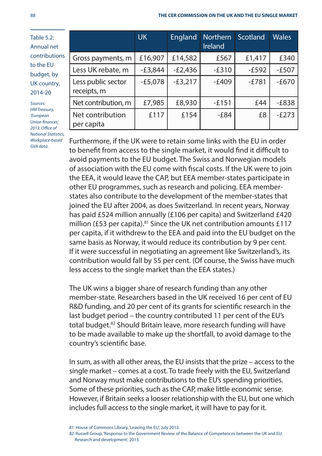| <b>Table 5.2:</b><br>Annual net                                                                                  |                                   | UK.       | England   | Northern<br>Ireland | Scotland | <b>Wales</b> |
|------------------------------------------------------------------------------------------------------------------|-----------------------------------|-----------|-----------|---------------------|----------|--------------|
| contributions                                                                                                    | Gross payments, m                 | £16,907   | £14,582   | £567                | £1,417   | £340         |
| to the EU<br>budget, by                                                                                          | Less UK rebate, m                 | $-E3,844$ | $-E2,436$ | $-E310$             | $-E592$  | $-E507$      |
| UK country,<br>2014-20                                                                                           | Less public sector<br>receipts, m | $-E5,078$ | $-£3,217$ | $-£409$             | $-E781$  | $-E670$      |
| Sources:<br><b>HM Treasury,</b><br>'European<br>Union finances!<br>2013; Office of<br><b>National Statistics</b> | Net contribution, m               | £7,985    | £8,930    | $-£151$             | £44      | $-E838$      |
|                                                                                                                  | Net contribution<br>per capita    | £117      | £154      | $-E84$              | £8       | $-E273$      |

Furthermore, if the UK were to retain some links with the EU in order to benefit from access to the single market, it would find it difficult to avoid payments to the EU budget. The Swiss and Norwegian models of association with the EU come with fiscal costs. If the UK were to join the EEA, it would leave the CAP, but EEA member-states participate in other EU programmes, such as research and policing. EEA memberstates also contribute to the development of the member-states that joined the EU after 2004, as does Switzerland. In recent years, Norway has paid £524 million annually (£106 per capita) and Switzerland £420 million (£53 per capita).<sup>81</sup> Since the UK net contribution amounts £117 per capita, if it withdrew to the EEA and paid into the EU budget on the same basis as Norway, it would reduce its contribution by 9 per cent. If it were successful in negotiating an agreement like Switzerland's, its contribution would fall by 55 per cent. (Of course, the Swiss have much less access to the single market than the EEA states.)

The UK wins a bigger share of research funding than any other member-state. Researchers based in the UK received 16 per cent of EU R&D funding, and 20 per cent of its grants for scientific research in the last budget period – the country contributed 11 per cent of the EU's total budget.<sup>82</sup> Should Britain leave, more research funding will have to be made available to make up the shortfall, to avoid damage to the country's scientific base.

In sum, as with all other areas, the EU insists that the prize – access to the single market – comes at a cost. To trade freely with the EU, Switzerland and Norway must make contributions to the EU's spending priorities. Some of these priorities, such as the CAP, make little economic sense. However, if Britain seeks a looser relationship with the EU, but one which includes full access to the single market, it will have to pay for it.

Workplace-based GVA data.

<sup>81:</sup> House of Commons Library, 'Leaving the EU', July 2013.

<sup>82:</sup> Russell Group, 'Response to the Government Review of the Balance of Competences between the UK and EU: Research and development', 2013.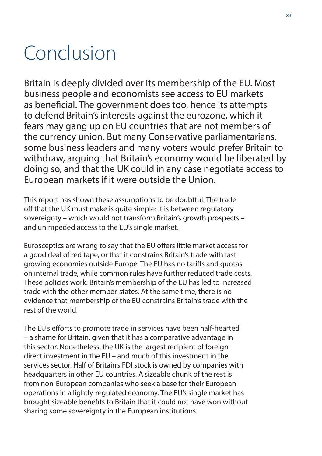# Conclusion

Britain is deeply divided over its membership of the EU. Most business people and economists see access to EU markets as beneficial. The government does too, hence its attempts to defend Britain's interests against the eurozone, which it fears may gang up on EU countries that are not members of the currency union. But many Conservative parliamentarians, some business leaders and many voters would prefer Britain to withdraw, arguing that Britain's economy would be liberated by doing so, and that the UK could in any case negotiate access to European markets if it were outside the Union.

This report has shown these assumptions to be doubtful. The tradeoff that the UK must make is quite simple: it is between regulatory sovereignty – which would not transform Britain's growth prospects – and unimpeded access to the EU's single market.

Eurosceptics are wrong to say that the EU offers little market access for a good deal of red tape, or that it constrains Britain's trade with fastgrowing economies outside Europe. The EU has no tariffs and quotas on internal trade, while common rules have further reduced trade costs. These policies work: Britain's membership of the EU has led to increased trade with the other member-states. At the same time, there is no evidence that membership of the EU constrains Britain's trade with the rest of the world.

The EU's efforts to promote trade in services have been half-hearted – a shame for Britain, given that it has a comparative advantage in this sector. Nonetheless, the UK is the largest recipient of foreign direct investment in the EU – and much of this investment in the services sector. Half of Britain's FDI stock is owned by companies with headquarters in other EU countries. A sizeable chunk of the rest is from non-European companies who seek a base for their European operations in a lightly-regulated economy. The EU's single market has brought sizeable benefits to Britain that it could not have won without sharing some sovereignty in the European institutions.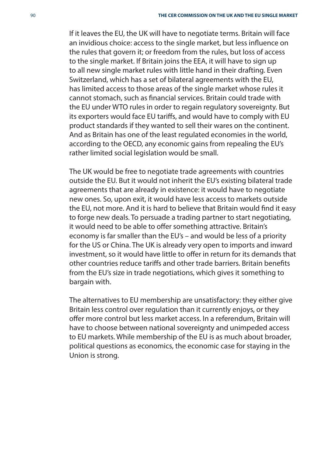If it leaves the EU, the UK will have to negotiate terms. Britain will face an invidious choice: access to the single market, but less influence on the rules that govern it; or freedom from the rules, but loss of access to the single market. If Britain joins the EEA, it will have to sign up to all new single market rules with little hand in their drafting. Even Switzerland, which has a set of bilateral agreements with the EU, has limited access to those areas of the single market whose rules it cannot stomach, such as financial services. Britain could trade with the EU under WTO rules in order to regain regulatory sovereignty. But its exporters would face EU tariffs, and would have to comply with EU product standards if they wanted to sell their wares on the continent. And as Britain has one of the least regulated economies in the world, according to the OECD, any economic gains from repealing the EU's rather limited social legislation would be small.

The UK would be free to negotiate trade agreements with countries outside the EU. But it would not inherit the EU's existing bilateral trade agreements that are already in existence: it would have to negotiate new ones. So, upon exit, it would have less access to markets outside the EU, not more. And it is hard to believe that Britain would find it easy to forge new deals. To persuade a trading partner to start negotiating, it would need to be able to offer something attractive. Britain's economy is far smaller than the EU's – and would be less of a priority for the US or China. The UK is already very open to imports and inward investment, so it would have little to offer in return for its demands that other countries reduce tariffs and other trade barriers. Britain benefits from the EU's size in trade negotiations, which gives it something to bargain with.

The alternatives to EU membership are unsatisfactory: they either give Britain less control over regulation than it currently enjoys, or they offer more control but less market access. In a referendum, Britain will have to choose between national sovereignty and unimpeded access to EU markets. While membership of the EU is as much about broader, political questions as economics, the economic case for staying in the Union is strong.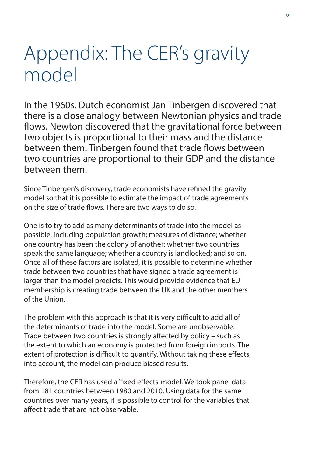# Appendix: The CER's gravity model

In the 1960s, Dutch economist Jan Tinbergen discovered that there is a close analogy between Newtonian physics and trade flows. Newton discovered that the gravitational force between two objects is proportional to their mass and the distance between them. Tinbergen found that trade flows between two countries are proportional to their GDP and the distance between them.

Since Tinbergen's discovery, trade economists have refined the gravity model so that it is possible to estimate the impact of trade agreements on the size of trade flows. There are two ways to do so.

One is to try to add as many determinants of trade into the model as possible, including population growth; measures of distance; whether one country has been the colony of another; whether two countries speak the same language; whether a country is landlocked; and so on. Once all of these factors are isolated, it is possible to determine whether trade between two countries that have signed a trade agreement is larger than the model predicts. This would provide evidence that EU membership is creating trade between the UK and the other members of the Union.

The problem with this approach is that it is very difficult to add all of the determinants of trade into the model. Some are unobservable. Trade between two countries is strongly affected by policy – such as the extent to which an economy is protected from foreign imports. The extent of protection is difficult to quantify. Without taking these effects into account, the model can produce biased results.

Therefore, the CER has used a 'fixed effects' model. We took panel data from 181 countries between 1980 and 2010. Using data for the same countries over many years, it is possible to control for the variables that affect trade that are not observable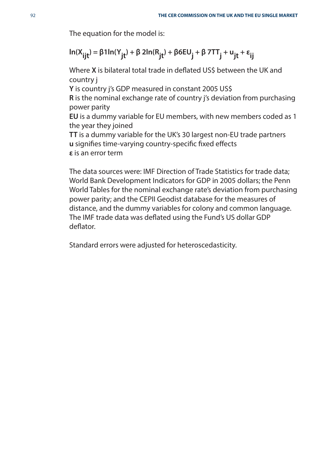The equation for the model is:

$$
ln(X_{ijt}) = \beta 1 ln(Y_{jt}) + \beta 2 ln(R_{jt}) + \beta 6 EU_j + \beta 7TT_j + u_{jt} + \epsilon_{ij}
$$

Where **X** is bilateral total trade in deflated US\$ between the UK and country j

**Y** is country j's GDP measured in constant 2005 US\$

**R** is the nominal exchange rate of country j's deviation from purchasing power parity

**EU** is a dummy variable for EU members, with new members coded as 1 the year they joined

**TT** is a dummy variable for the UK's 30 largest non-EU trade partners **u** signifies time-varying country-specific fixed effects **ε** is an error term

The data sources were: IMF Direction of Trade Statistics for trade data; World Bank Development Indicators for GDP in 2005 dollars; the Penn World Tables for the nominal exchange rate's deviation from purchasing power parity; and the CEPII Geodist database for the measures of distance, and the dummy variables for colony and common language. The IMF trade data was deflated using the Fund's US dollar GDP deflator

Standard errors were adjusted for heteroscedasticity.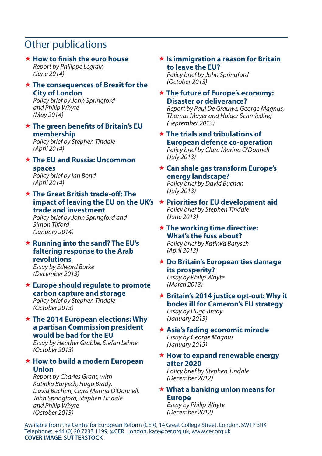#### Other publications

#### **\* How to finish the euro house**

Report by Philippe Legrain (June 2014)

#### **The consequences of Brexit for the City of London**

Policy brief by John Springford and Philip Whyte (May 2014)

#### **★ The green benefits of Britain's EU membership**

Policy brief by Stephen Tindale (April 2014)

#### **The EU and Russia: Uncommon spaces**

Policy brief by Ian Bond (April 2014)

#### **The Great British trade-off : The impact of leaving the EU on the UK's Priorities for EU development aid trade and investment**

Policy brief by John Springford and Simon Tilford (January 2014)

#### **Running into the sand? The EU's faltering response to the Arab revolutions**

Essay by Edward Burke (December 2013)

#### **Europe should regulate to promote carbon capture and storage** Policy brief by Stephen Tindale

#### (October 2013)  **The 2014 European elections: Why a partisan Commission president**

**would be bad for the EU**  Essay by Heather Grabbe, Stefan Lehne (October 2013)

#### **How to build a modern European Union**

Report by Charles Grant, with Katinka Barysch, Hugo Brady, David Buchan, Clara Marina O'Donnell, John Springford, Stephen Tindale and Philip Whyte (October 2013)

#### **Is immigration a reason for Britain to leave the EU?**

Policy brief by John Springford (October 2013)

#### **The future of Europe's economy: Disaster or deliverance?**

Report by Paul De Grauwe, George Magnus, Thomas Mayer and Holger Schmieding (September 2013)

#### **The trials and tribulations of European defence co-operation**

Policy brief by Clara Marina O'Donnell (July 2013)

#### **Can shale gas transform Europe's energy landscape?**  Policy brief by David Buchan

(July 2013)

#### Policy brief by Stephen Tindale (June 2013)

#### **The working time directive: What's the fuss about?**

Policy brief by Katinka Barysch (April 2013)

#### **Do Britain's European ties damage its prosperity?**  Essay by Philip Whyte

(March 2013)

#### **★ Britain's 2014 justice opt-out: Why it bodes ill for Cameron's EU strategy** Essay by Hugo Brady

(January 2013)

- **Asia's fading economic miracle**  Essay by George Magnus (January 2013)
- **★ How to expand renewable energy after 2020**

Policy brief by Stephen Tindale (December 2012)

#### **What a banking union means for Europe**

Essay by Philip Whyte (December 2012)

Available from the Centre for European Reform (CER), 14 Great College Street, London, SW1P 3RX Telephone: +44 (0) 20 7233 1199, @CER\_London, kate@cer.org.uk, www.cer.org.uk